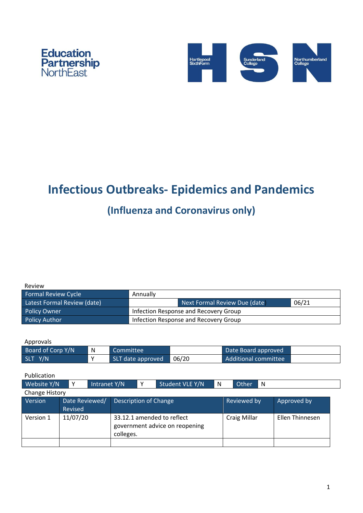



# **Infectious Outbreaks- Epidemics and Pandemics**

## **(Influenza and Coronavirus only)**

| Review                      |                                       |                               |       |  |  |
|-----------------------------|---------------------------------------|-------------------------------|-------|--|--|
| <b>Formal Review Cycle</b>  | Annually                              |                               |       |  |  |
| Latest Formal Review (date) |                                       | Next Formal Review Due (date) | 06/21 |  |  |
| <b>Policy Owner</b>         | Infection Response and Recovery Group |                               |       |  |  |
| Policy Author               | Infection Response and Recovery Group |                               |       |  |  |

| Approvals         |   |                   |       |                      |  |
|-------------------|---|-------------------|-------|----------------------|--|
| Board of Corp Y/N | N | Committee         |       | Date Board approved  |  |
| SLT Y/N           | v | SLT date approved | 06/20 | Additional committee |  |

| Website Y/N    |                           | Intranet Y/N |                                                                           | v | Student VLE Y/N | N | Other        | - N |                 |
|----------------|---------------------------|--------------|---------------------------------------------------------------------------|---|-----------------|---|--------------|-----|-----------------|
| Change History |                           |              |                                                                           |   |                 |   |              |     |                 |
| <b>Version</b> | Date Reviewed/<br>Revised |              | <b>Description of Change</b>                                              |   |                 |   | Reviewed by  |     | Approved by     |
| Version 1      | 11/07/20                  |              | 33.12.1 amended to reflect<br>government advice on reopening<br>colleges. |   |                 |   | Craig Millar |     | Ellen Thinnesen |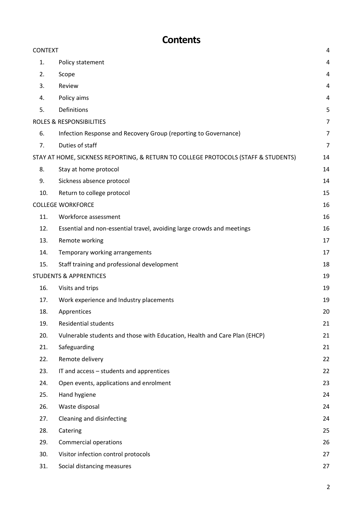## **Contents**

| <b>CONTEXT</b> |                                                                                    | 4  |
|----------------|------------------------------------------------------------------------------------|----|
| 1.             | Policy statement                                                                   | 4  |
| 2.             | Scope                                                                              | 4  |
| 3.             | Review                                                                             | 4  |
| 4.             | Policy aims                                                                        | 4  |
| 5.             | Definitions                                                                        | 5  |
|                | <b>ROLES &amp; RESPONSIBILITIES</b>                                                | 7  |
| 6.             | Infection Response and Recovery Group (reporting to Governance)                    | 7  |
| 7.             | Duties of staff                                                                    | 7  |
|                | STAY AT HOME, SICKNESS REPORTING, & RETURN TO COLLEGE PROTOCOLS (STAFF & STUDENTS) | 14 |
| 8.             | Stay at home protocol                                                              | 14 |
| 9.             | Sickness absence protocol                                                          | 14 |
| 10.            | Return to college protocol                                                         | 15 |
|                | <b>COLLEGE WORKFORCE</b>                                                           | 16 |
| 11.            | Workforce assessment                                                               | 16 |
| 12.            | Essential and non-essential travel, avoiding large crowds and meetings             | 16 |
| 13.            | Remote working                                                                     | 17 |
| 14.            | Temporary working arrangements                                                     | 17 |
| 15.            | Staff training and professional development                                        | 18 |
|                | <b>STUDENTS &amp; APPRENTICES</b>                                                  | 19 |
| 16.            | Visits and trips                                                                   | 19 |
| 17.            | Work experience and Industry placements                                            | 19 |
| 18.            | Apprentices                                                                        | 20 |
| 19.            | <b>Residential students</b>                                                        | 21 |
| 20.            | Vulnerable students and those with Education, Health and Care Plan (EHCP)          | 21 |
| 21.            | Safeguarding                                                                       | 21 |
| 22.            | Remote delivery                                                                    | 22 |
| 23.            | IT and access – students and apprentices                                           | 22 |
| 24.            | Open events, applications and enrolment                                            | 23 |
| 25.            | Hand hygiene                                                                       | 24 |
| 26.            | Waste disposal                                                                     | 24 |
| 27.            | Cleaning and disinfecting                                                          | 24 |
| 28.            | Catering                                                                           | 25 |
| 29.            | Commercial operations                                                              | 26 |
| 30.            | Visitor infection control protocols                                                | 27 |
| 31.            | Social distancing measures                                                         | 27 |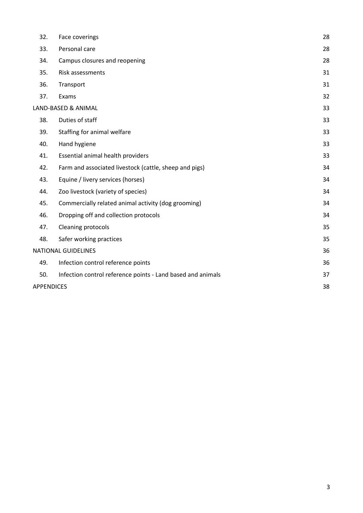| 32.               | Face coverings                                              | 28 |
|-------------------|-------------------------------------------------------------|----|
| 33.               | Personal care                                               | 28 |
| 34.               | Campus closures and reopening                               | 28 |
| 35.               | Risk assessments                                            | 31 |
| 36.               | Transport                                                   | 31 |
| 37.               | Exams                                                       | 32 |
|                   | LAND-BASED & ANIMAL                                         | 33 |
| 38.               | Duties of staff                                             | 33 |
| 39.               | Staffing for animal welfare                                 | 33 |
| 40.               | Hand hygiene                                                | 33 |
| 41.               | Essential animal health providers                           | 33 |
| 42.               | Farm and associated livestock (cattle, sheep and pigs)      | 34 |
| 43.               | Equine / livery services (horses)                           | 34 |
| 44.               | Zoo livestock (variety of species)                          | 34 |
| 45.               | Commercially related animal activity (dog grooming)         | 34 |
| 46.               | Dropping off and collection protocols                       | 34 |
| 47.               | Cleaning protocols                                          | 35 |
| 48.               | Safer working practices                                     | 35 |
|                   | <b>NATIONAL GUIDELINES</b>                                  | 36 |
| 49.               | Infection control reference points                          | 36 |
| 50.               | Infection control reference points - Land based and animals | 37 |
| <b>APPENDICES</b> |                                                             | 38 |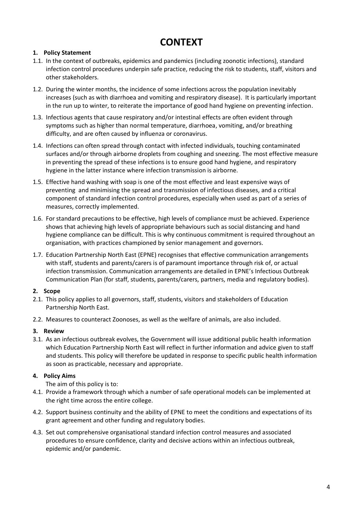### **CONTEXT**

#### <span id="page-3-1"></span><span id="page-3-0"></span>**1. Policy Statement**

- 1.1. In the context of outbreaks, epidemics and pandemics (including zoonotic infections), standard infection control procedures underpin safe practice, reducing the risk to students, staff, visitors and other stakeholders.
- 1.2. During the winter months, the incidence of some infections across the population inevitably increases (such as with diarrhoea and vomiting and respiratory disease). It is particularly important in the run up to winter, to reiterate the importance of good hand hygiene on preventing infection.
- 1.3. Infectious agents that cause respiratory and/or intestinal effects are often evident through symptoms such as higher than normal temperature, diarrhoea, vomiting, and/or breathing difficulty, and are often caused by influenza or coronavirus.
- 1.4. Infections can often spread through contact with infected individuals, touching contaminated surfaces and/or through airborne droplets from coughing and sneezing. The most effective measure in preventing the spread of these infections is to ensure good hand hygiene, and respiratory hygiene in the latter instance where infection transmission is airborne.
- 1.5. Effective hand washing with soap is one of the most effective and least expensive ways of preventing and minimising the spread and transmission of infectious diseases, and a critical component of standard infection control procedures, especially when used as part of a series of measures, correctly implemented.
- 1.6. For standard precautions to be effective, high levels of compliance must be achieved. Experience shows that achieving high levels of appropriate behaviours such as social distancing and hand hygiene compliance can be difficult. This is why continuous commitment is required throughout an organisation, with practices championed by senior management and governors.
- 1.7. Education Partnership North East (EPNE) recognises that effective communication arrangements with staff, students and parents/carers is of paramount importance through risk of, or actual infection transmission. Communication arrangements are detailed in EPNE's Infectious Outbreak Communication Plan (for staff, students, parents/carers, partners, media and regulatory bodies).

#### <span id="page-3-2"></span>**2. Scope**

- 2.1. This policy applies to all governors, staff, students, visitors and stakeholders of Education Partnership North East.
- 2.2. Measures to counteract Zoonoses, as well as the welfare of animals, are also included.

#### <span id="page-3-3"></span>**3. Review**

3.1. As an infectious outbreak evolves, the Government will issue additional public health information which Education Partnership North East will reflect in further information and advice given to staff and students. This policy will therefore be updated in response to specific public health information as soon as practicable, necessary and appropriate.

#### <span id="page-3-4"></span>**4. Policy Aims**

The aim of this policy is to:

- 4.1. Provide a framework through which a number of safe operational models can be implemented at the right time across the entire college.
- 4.2. Support business continuity and the ability of EPNE to meet the conditions and expectations of its grant agreement and other funding and regulatory bodies.
- 4.3. Set out comprehensive organisational standard infection control measures and associated procedures to ensure confidence, clarity and decisive actions within an infectious outbreak, epidemic and/or pandemic.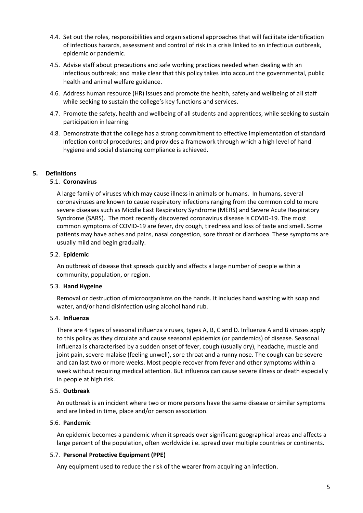- 4.4. Set out the roles, responsibilities and organisational approaches that will facilitate identification of infectious hazards, assessment and control of risk in a crisis linked to an infectious outbreak, epidemic or pandemic.
- 4.5. Advise staff about precautions and safe working practices needed when dealing with an infectious outbreak; and make clear that this policy takes into account the governmental, public health and animal welfare guidance.
- 4.6. Address human resource (HR) issues and promote the health, safety and wellbeing of all staff while seeking to sustain the college's key functions and services.
- 4.7. Promote the safety, health and wellbeing of all students and apprentices, while seeking to sustain participation in learning.
- 4.8. Demonstrate that the college has a strong commitment to effective implementation of standard infection control procedures; and provides a framework through which a high level of hand hygiene and social distancing compliance is achieved.

#### <span id="page-4-0"></span>**5. Definitions**

#### 5.1. **Coronavirus**

A large family of viruses which may cause illness in animals or humans. In humans, several coronaviruses are known to cause respiratory infections ranging from the common cold to more severe diseases such as Middle East Respiratory Syndrome (MERS) and Severe Acute Respiratory Syndrome (SARS). The most recently discovered coronavirus disease is COVID-19. The most common symptoms of COVID-19 are fever, dry cough, tiredness and loss of taste and smell. Some patients may have aches and pains, nasal congestion, sore throat or diarrhoea. These symptoms are usually mild and begin gradually.

#### 5.2. **Epidemic**

An outbreak of disease that spreads quickly and affects a large number of people within a community, population, or region.

#### 5.3. **Hand Hygeine**

Removal or destruction of microorganisms on the hands. It includes hand washing with soap and water, and/or hand disinfection using alcohol hand rub.

#### 5.4. **Influenza**

There are 4 types of seasonal influenza viruses, types A, B, C and D. Influenza A and B viruses apply to this policy as they circulate and cause seasonal epidemics (or pandemics) of disease. Seasonal influenza is characterised by a sudden onset of fever, cough (usually dry), headache, muscle and joint pain, severe malaise (feeling unwell), sore throat and a runny nose. The cough can be severe and can last two or more weeks. Most people recover from fever and other symptoms within a week without requiring medical attention. But influenza can cause severe illness or death especially in people at high risk.

#### 5.5. **Outbreak**

An outbreak is an incident where two or more persons have the same disease or similar symptoms and are linked in time, place and/or person association.

#### 5.6. **Pandemic**

An epidemic becomes a pandemic when it spreads over significant geographical areas and affects a large percent of the population, often worldwide i.e. spread over multiple countries or continents.

#### 5.7. **Personal Protective Equipment (PPE)**

Any equipment used to reduce the risk of the wearer from acquiring an infection.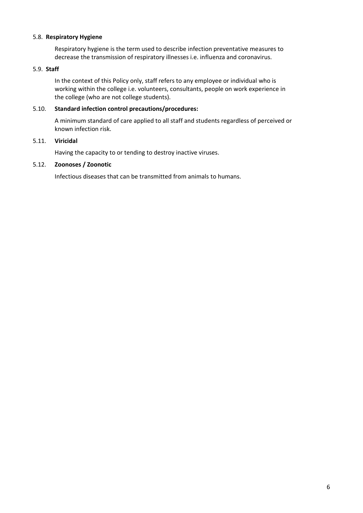#### 5.8. **Respiratory Hygiene**

Respiratory hygiene is the term used to describe infection preventative measures to decrease the transmission of respiratory illnesses i.e. influenza and coronavirus.

#### 5.9. **Staff**

In the context of this Policy only, staff refers to any employee or individual who is working within the college i.e. volunteers, consultants, people on work experience in the college (who are not college students).

#### 5.10. **Standard infection control precautions/procedures:**

A minimum standard of care applied to all staff and students regardless of perceived or known infection risk.

#### 5.11. **Viricidal**

Having the capacity to or tending to destroy inactive viruses.

#### 5.12. **Zoonoses / Zoonotic**

Infectious diseases that can be transmitted from animals to humans.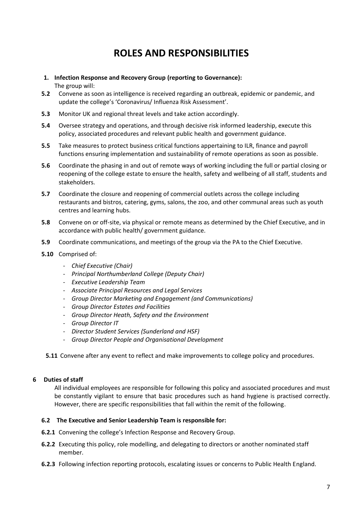### **ROLES AND RESPONSIBILITIES**

### <span id="page-6-1"></span><span id="page-6-0"></span>**1. Infection Response and Recovery Group (reporting to Governance):**

The group will:

- **5.2** Convene as soon as intelligence is received regarding an outbreak, epidemic or pandemic, and update the college's 'Coronavirus/ Influenza Risk Assessment'.
- **5.3** Monitor UK and regional threat levels and take action accordingly.
- **5.4** Oversee strategy and operations, and through decisive risk informed leadership, execute this policy, associated procedures and relevant public health and government guidance.
- **5.5** Take measures to protect business critical functions appertaining to ILR, finance and payroll functions ensuring implementation and sustainability of remote operations as soon as possible.
- **5.6** Coordinate the phasing in and out of remote ways of working including the full or partial closing or reopening of the college estate to ensure the health, safety and wellbeing of all staff, students and stakeholders.
- **5.7** Coordinate the closure and reopening of commercial outlets across the college including restaurants and bistros, catering, gyms, salons, the zoo, and other communal areas such as youth centres and learning hubs.
- **5.8** Convene on or off-site, via physical or remote means as determined by the Chief Executive, and in accordance with public health/ government guidance.
- **5.9** Coordinate communications, and meetings of the group via the PA to the Chief Executive.
- **5.10** Comprised of:
	- *Chief Executive (Chair)*
	- *Principal Northumberland College (Deputy Chair)*
	- *Executive Leadership Team*
	- *Associate Principal Resources and Legal Services*
	- *Group Director Marketing and Engagement (and Communications)*
	- *Group Director Estates and Facilities*
	- *Group Director Heath, Safety and the Environment*
	- *Group Director IT*
	- *Director Student Services (Sunderland and HSF)*
	- *Group Director People and Organisational Development*

**5.11** Convene after any event to reflect and make improvements to college policy and procedures.

#### <span id="page-6-2"></span>**6 Duties of staff**

All individual employees are responsible for following this policy and associated procedures and must be constantly vigilant to ensure that basic procedures such as hand hygiene is practised correctly. However, there are specific responsibilities that fall within the remit of the following.

#### **6.2 The Executive and Senior Leadership Team is responsible for:**

- **6.2.1** Convening the college's Infection Response and Recovery Group.
- **6.2.2** Executing this policy, role modelling, and delegating to directors or another nominated staff member.
- **6.2.3** Following infection reporting protocols, escalating issues or concerns to Public Health England.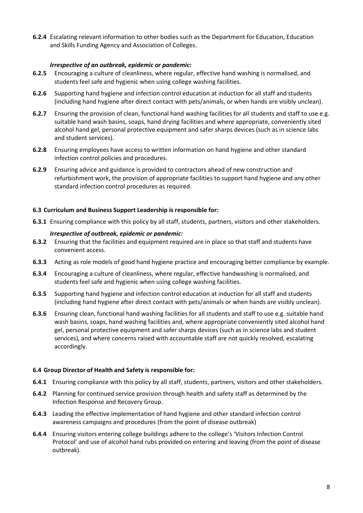**6.2.4** Escalating relevant information to other bodies such as the Department for Education, Education and Skills Funding Agency and Association of Colleges.

#### *Irrespective of an outbreak, epidemic or pandemic:*

- **6.2.5** Encouraging a culture of cleanliness, where regular, effective hand washing is normalised, and students feel safe and hygienic when using college washing facilities.
- **6.2.6** Supporting hand hygiene and infection control education at induction for all staff and students (including hand hygiene after direct contact with pets/animals, or when hands are visibly unclean).
- **6.2.7** Ensuring the provision of clean, functional hand washing facilities for all students and staff to use e.g. suitable hand wash basins, soaps, hand drying facilities and where appropriate, conveniently sited alcohol hand gel, personal protective equipment and safer sharps devices (such as in science labs and student services).
- **6.2.8** Ensuring employees have access to written information on hand hygiene and other standard infection control policies and procedures.
- **6.2.9** Ensuring advice and guidance is provided to contractors ahead of new construction and refurbishment work, the provision of appropriate facilities to support hand hygiene and any other standard infection control procedures as required.

#### **6.3 Curriculum and Business Support Leadership is responsible for:**

**6.3.1** Ensuring compliance with this policy by all staff, students, partners, visitors and other stakeholders.

#### *Irrespective of outbreak, epidemic or pandemic:*

- **6.3.2** Ensuring that the facilities and equipment required are in place so that staff and students have convenient access.
- **6.3.3** Acting as role models of good hand hygiene practice and encouraging better compliance by example.
- **6.3.4** Encouraging a culture of cleanliness, where regular, effective handwashing is normalised, and students feel safe and hygienic when using college washing facilities.
- **6.3.5** Supporting hand hygiene and infection control education at induction for all staff and students (including hand hygiene after direct contact with pets/animals or when hands are visibly unclean).
- **6.3.6** Ensuring clean, functional hand washing facilities for all students and staff to use e.g. suitable hand wash basins, soaps, hand washing facilities and, where appropriate conveniently sited alcohol hand gel, personal protective equipment and safer sharps devices (such as in science labs and student services), and where concerns raised with accountable staff are not quickly resolved, escalating accordingly.

#### **6.4 Group Director of Health and Safety is responsible for:**

- **6.4.1** Ensuring compliance with this policy by all staff, students, partners, visitors and other stakeholders.
- **6.4.2** Planning for continued service provision through health and safety staff as determined by the Infection Response and Recovery Group.
- **6.4.3** Leading the effective implementation of hand hygiene and other standard infection control awareness campaigns and procedures (from the point of disease outbreak)
- **6.4.4** Ensuring visitors entering college buildings adhere to the college's 'Visitors Infection Control Protocol' and use of alcohol hand rubs provided on entering and leaving (from the point of disease outbreak).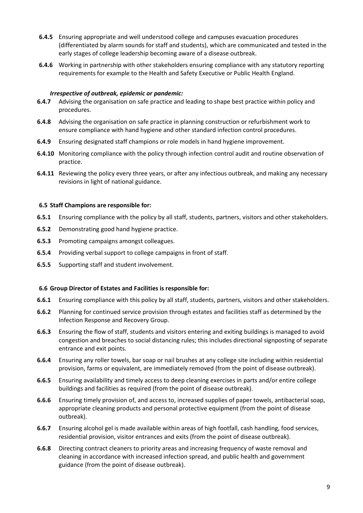- **6.4.5** Ensuring appropriate and well understood college and campuses evacuation procedures (differentiated by alarm sounds for staff and students), which are communicated and tested in the early stages of college leadership becoming aware of a disease outbreak.
- **6.4.6** Working in partnership with other stakeholders ensuring compliance with any statutory reporting requirements for example to the Health and Safety Executive or Public Health England.

#### *Irrespective of outbreak, epidemic or pandemic:*

- **6.4.7** Advising the organisation on safe practice and leading to shape best practice within policy and procedures.
- **6.4.8** Advising the organisation on safe practice in planning construction or refurbishment work to ensure compliance with hand hygiene and other standard infection control procedures.
- **6.4.9** Ensuring designated staff champions or role models in hand hygiene improvement.
- **6.4.10** Monitoring compliance with the policy through infection control audit and routine observation of practice.
- **6.4.11** Reviewing the policy every three years, or after any infectious outbreak, and making any necessary revisions in light of national guidance.

#### **6.5 Staff Champions are responsible for:**

- **6.5.1** Ensuring compliance with the policy by all staff, students, partners, visitors and other stakeholders.
- **6.5.2** Demonstrating good hand hygiene practice.
- **6.5.3** Promoting campaigns amongst colleagues.
- **6.5.4** Providing verbal support to college campaigns in front of staff.
- **6.5.5** Supporting staff and student involvement.

#### **6.6 Group Director of Estates and Facilities is responsible for:**

- **6.6.1** Ensuring compliance with this policy by all staff, students, partners, visitors and other stakeholders.
- **6.6.2** Planning for continued service provision through estates and facilities staff as determined by the Infection Response and Recovery Group.
- **6.6.3** Ensuring the flow of staff, students and visitors entering and exiting buildings is managed to avoid congestion and breaches to social distancing rules; this includes directional signposting of separate entrance and exit points.
- **6.6.4** Ensuring any roller towels, bar soap or nail brushes at any college site including within residential provision, farms or equivalent, are immediately removed (from the point of disease outbreak).
- **6.6.5** Ensuring availability and timely access to deep cleaning exercises in parts and/or entire college buildings and facilities as required (from the point of disease outbreak).
- **6.6.6** Ensuring timely provision of, and access to, increased supplies of paper towels, antibacterial soap, appropriate cleaning products and personal protective equipment (from the point of disease outbreak).
- **6.6.7** Ensuring alcohol gel is made available within areas of high footfall, cash handling, food services, residential provision, visitor entrances and exits (from the point of disease outbreak).
- **6.6.8** Directing contract cleaners to priority areas and increasing frequency of waste removal and cleaning in accordance with increased infection spread, and public health and government guidance (from the point of disease outbreak).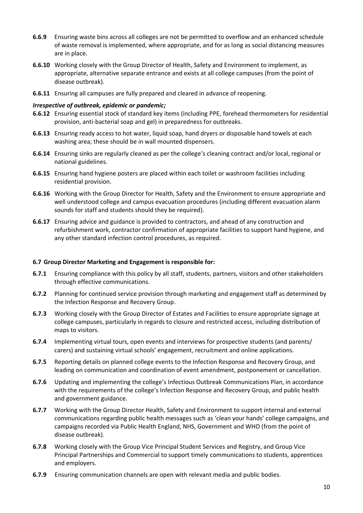- **6.6.9** Ensuring waste bins across all colleges are not be permitted to overflow and an enhanced schedule of waste removal is implemented, where appropriate, and for as long as social distancing measures are in place.
- **6.6.10** Working closely with the Group Director of Health, Safety and Environment to implement, as appropriate, alternative separate entrance and exists at all college campuses (from the point of disease outbreak).
- **6.6.11** Ensuring all campuses are fully prepared and cleared in advance of reopening.

#### *Irrespective of outbreak, epidemic or pandemic;*

- **6.6.12** Ensuring essential stock of standard key items (including PPE, forehead thermometers for residential provision, anti-bacterial soap and gel) in preparedness for outbreaks.
- **6.6.13** Ensuring ready access to hot water, liquid soap, hand dryers or disposable hand towels at each washing area; these should be in wall mounted dispensers.
- **6.6.14** Ensuring sinks are regularly cleaned as per the college's cleaning contract and/or local, regional or national guidelines.
- **6.6.15** Ensuring hand hygiene posters are placed within each toilet or washroom facilities including residential provision.
- **6.6.16** Working with the Group Director for Health, Safety and the Environment to ensure appropriate and well understood college and campus evacuation procedures (including different evacuation alarm sounds for staff and students should they be required).
- **6.6.17** Ensuring advice and guidance is provided to contractors, and ahead of any construction and refurbishment work, contractor confirmation of appropriate facilities to support hand hygiene, and any other standard infection control procedures, as required.

#### **6.7 Group Director Marketing and Engagement is responsible for:**

- **6.7.1** Ensuring compliance with this policy by all staff, students, partners, visitors and other stakeholders through effective communications.
- **6.7.2** Planning for continued service provision through marketing and engagement staff as determined by the Infection Response and Recovery Group.
- **6.7.3** Working closely with the Group Director of Estates and Facilities to ensure appropriate signage at college campuses, particularly in regards to closure and restricted access, including distribution of maps to visitors.
- **6.7.4** Implementing virtual tours, open events and interviews for prospective students (and parents/ carers) and sustaining virtual schools' engagement, recruitment and online applications.
- **6.7.5** Reporting details on planned college events to the Infection Response and Recovery Group, and leading on communication and coordination of event amendment, postponement or cancellation.
- **6.7.6** Updating and implementing the college's Infectious Outbreak Communications Plan, in accordance with the requirements of the college's Infection Response and Recovery Group, and public health and government guidance.
- **6.7.7** Working with the Group Director Health, Safety and Environment to support internal and external communications regarding public health messages such as 'clean your hands' college campaigns, and campaigns recorded via Public Health England, NHS, Government and WHO (from the point of disease outbreak).
- **6.7.8** Working closely with the Group Vice Principal Student Services and Registry, and Group Vice Principal Partnerships and Commercial to support timely communications to students, apprentices and employers.
- **6.7.9** Ensuring communication channels are open with relevant media and public bodies.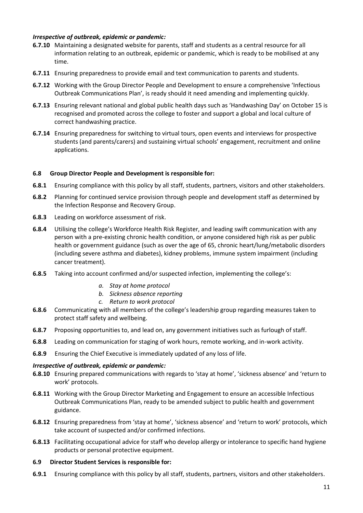#### *Irrespective of outbreak, epidemic or pandemic:*

- **6.7.10** Maintaining a designated website for parents, staff and students as a central resource for all information relating to an outbreak, epidemic or pandemic, which is ready to be mobilised at any time.
- **6.7.11** Ensuring preparedness to provide email and text communication to parents and students.
- **6.7.12** Working with the Group Director People and Development to ensure a comprehensive 'Infectious Outbreak Communications Plan', is ready should it need amending and implementing quickly.
- **6.7.13** Ensuring relevant national and global public health days such as 'Handwashing Day' on October 15 is recognised and promoted across the college to foster and support a global and local culture of correct handwashing practice.
- **6.7.14** Ensuring preparedness for switching to virtual tours, open events and interviews for prospective students (and parents/carers) and sustaining virtual schools' engagement, recruitment and online applications.

#### **6.8 Group Director People and Development is responsible for:**

- **6.8.1** Ensuring compliance with this policy by all staff, students, partners, visitors and other stakeholders.
- **6.8.2** Planning for continued service provision through people and development staff as determined by the Infection Response and Recovery Group.
- **6.8.3** Leading on workforce assessment of risk.
- **6.8.4** Utilising the college's Workforce Health Risk Register, and leading swift communication with any person with a pre-existing chronic health condition, or anyone considered high risk as per public health or government guidance (such as over the age of 65, chronic heart/lung/metabolic disorders (including severe asthma and diabetes), kidney problems, immune system impairment (including cancer treatment).
- **6.8.5** Taking into account confirmed and/or suspected infection, implementing the college's:
	- *a. Stay at home protocol*
	- *b. Sickness absence reporting*
	- *c. Return to work protocol*
- **6.8.6** Communicating with all members of the college's leadership group regarding measures taken to protect staff safety and wellbeing.
- **6.8.7** Proposing opportunities to, and lead on, any government initiatives such as furlough of staff.
- **6.8.8** Leading on communication for staging of work hours, remote working, and in-work activity.
- **6.8.9** Ensuring the Chief Executive is immediately updated of any loss of life.

#### *Irrespective of outbreak, epidemic or pandemic:*

- **6.8.10** Ensuring prepared communications with regards to 'stay at home', 'sickness absence' and 'return to work' protocols.
- **6.8.11** Working with the Group Director Marketing and Engagement to ensure an accessible Infectious Outbreak Communications Plan, ready to be amended subject to public health and government guidance.
- **6.8.12** Ensuring preparedness from 'stay at home', 'sickness absence' and 'return to work' protocols, which take account of suspected and/or confirmed infections.
- **6.8.13** Facilitating occupational advice for staff who develop allergy or intolerance to specific hand hygiene products or personal protective equipment.
- **6.9 Director Student Services is responsible for:**
- **6.9.1** Ensuring compliance with this policy by all staff, students, partners, visitors and other stakeholders.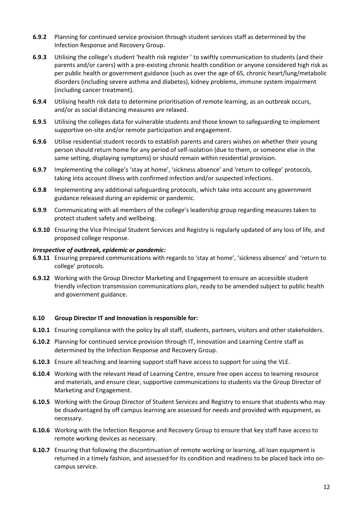- **6.9.2** Planning for continued service provision through student services staff as determined by the Infection Response and Recovery Group.
- **6.9.3** Utilising the college's student 'health risk register ' to swiftly communication to students (and their parents and/or carers) with a pre-existing chronic health condition or anyone considered high risk as per public health or government guidance (such as over the age of 65, chronic heart/lung/metabolic disorders (including severe asthma and diabetes), kidney problems, immune system impairment (including cancer treatment).
- **6.9.4** Utilising health risk data to determine prioritisation of remote learning, as an outbreak occurs, and/or as social distancing measures are relaxed.
- **6.9.5** Utilising the colleges data for vulnerable students and those known to safeguarding to implement supportive on-site and/or remote participation and engagement.
- **6.9.6** Utilise residential student records to establish parents and carers wishes on whether their young person should return home for any period of self-isolation (due to them, or someone else in the same setting, displaying symptoms) or should remain within residential provision.
- **6.9.7** Implementing the college's 'stay at home', 'sickness absence' and 'return to college' protocols, taking into account illness with confirmed infection and/or suspected infections.
- **6.9.8** Implementing any additional safeguarding protocols, which take into account any government guidance released during an epidemic or pandemic.
- **6.9.9** Communicating with all members of the college's leadership group regarding measures taken to protect student safety and wellbeing.
- **6.9.10** Ensuring the Vice Principal Student Services and Registry is regularly updated of any loss of life, and proposed college response.

#### *Irrespective of outbreak, epidemic or pandemic:*

- **6.9.11** Ensuring prepared communications with regards to 'stay at home', 'sickness absence' and 'return to college' protocols.
- **6.9.12** Working with the Group Director Marketing and Engagement to ensure an accessible student friendly infection transmission communications plan, ready to be amended subject to public health and government guidance.

#### **6.10 Group Director IT and Innovation is responsible for:**

- **6.10.1** Ensuring compliance with the policy by all staff, students, partners, visitors and other stakeholders.
- **6.10.2** Planning for continued service provision through IT, Innovation and Learning Centre staff as determined by the Infection Response and Recovery Group.
- **6.10.3** Ensure all teaching and learning support staff have access to support for using the VLE.
- **6.10.4** Working with the relevant Head of Learning Centre, ensure free open access to learning resource and materials, and ensure clear, supportive communications to students via the Group Director of Marketing and Engagement.
- **6.10.5** Working with the Group Director of Student Services and Registry to ensure that students who may be disadvantaged by off campus learning are assessed for needs and provided with equipment, as necessary.
- **6.10.6** Working with the Infection Response and Recovery Group to ensure that key staff have access to remote working devices as necessary.
- **6.10.7** Ensuring that following the discontinuation of remote working or learning, all loan equipment is returned in a timely fashion, and assessed for its condition and readiness to be placed back into oncampus service.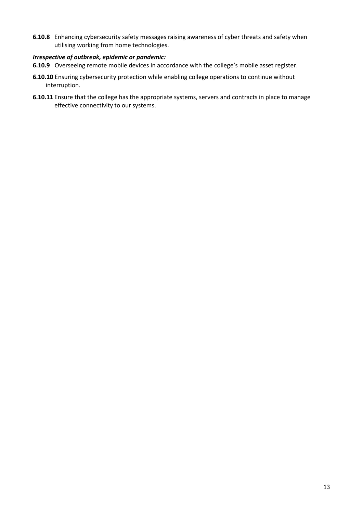**6.10.8** Enhancing cybersecurity safety messages raising awareness of cyber threats and safety when utilising working from home technologies.

#### *Irrespective of outbreak, epidemic or pandemic:*

- **6.10.9** Overseeing remote mobile devices in accordance with the college's mobile asset register.
- **6.10.10** Ensuring cybersecurity protection while enabling college operations to continue without interruption.
- <span id="page-12-0"></span>**6.10.11** Ensure that the college has the appropriate systems, servers and contracts in place to manage effective connectivity to our systems.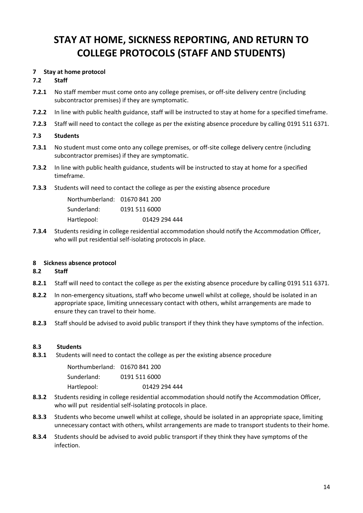## **STAY AT HOME, SICKNESS REPORTING, AND RETURN TO COLLEGE PROTOCOLS (STAFF AND STUDENTS)**

#### <span id="page-13-0"></span>**7 Stay at home protocol**

#### **7.2 Staff**

- **7.2.1** No staff member must come onto any college premises, or off-site delivery centre (including subcontractor premises) if they are symptomatic.
- **7.2.2** In line with public health guidance, staff will be instructed to stay at home for a specified timeframe.
- **7.2.3** Staff will need to contact the college as per the existing absence procedure by calling 0191 511 6371.

#### **7.3 Students**

- **7.3.1** No student must come onto any college premises, or off-site college delivery centre (including subcontractor premises) if they are symptomatic.
- **7.3.2** In line with public health guidance, students will be instructed to stay at home for a specified timeframe.
- **7.3.3** Students will need to contact the college as per the existing absence procedure

| Northumberland: 01670 841 200 |               |
|-------------------------------|---------------|
| Sunderland:                   | 0191 511 6000 |
| Hartlepool:                   | 01429 294 444 |

**7.3.4** Students residing in college residential accommodation should notify the Accommodation Officer, who will put residential self-isolating protocols in place.

#### <span id="page-13-1"></span>**8 Sickness absence protocol**

#### **8.2 Staff**

- **8.2.1** Staff will need to contact the college as per the existing absence procedure by calling 0191 511 6371.
- **8.2.2** In non-emergency situations, staff who become unwell whilst at college, should be isolated in an appropriate space, limiting unnecessary contact with others, whilst arrangements are made to ensure they can travel to their home.
- **8.2.3** Staff should be advised to avoid public transport if they think they have symptoms of the infection.

#### **8.3 Students**

**8.3.1** Students will need to contact the college as per the existing absence procedure

| Northumberland: 01670 841 200 |               |
|-------------------------------|---------------|
| Sunderland:                   | 0191 511 6000 |
| Hartlepool:                   | 01429 294 444 |

- **8.3.2** Students residing in college residential accommodation should notify the Accommodation Officer, who will put residential self-isolating protocols in place.
- **8.3.3** Students who become unwell whilst at college, should be isolated in an appropriate space, limiting unnecessary contact with others, whilst arrangements are made to transport students to their home.
- **8.3.4** Students should be advised to avoid public transport if they think they have symptoms of the infection.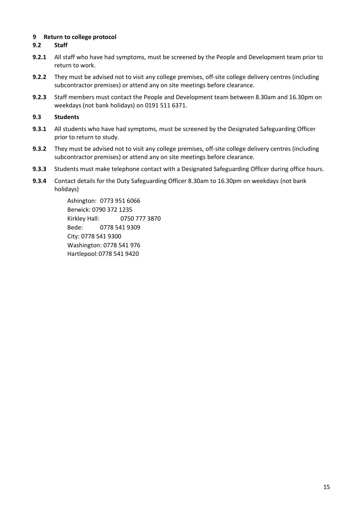#### <span id="page-14-0"></span>**9 Return to college protocol**

#### **9.2 Staff**

- **9.2.1** All staff who have had symptoms, must be screened by the People and Development team prior to return to work.
- **9.2.2** They must be advised not to visit any college premises, off-site college delivery centres (including subcontractor premises) or attend any on site meetings before clearance.
- **9.2.3** Staff members must contact the People and Development team between 8.30am and 16.30pm on weekdays (not bank holidays) on 0191 511 6371.

#### **9.3 Students**

- **9.3.1** All students who have had symptoms, must be screened by the Designated Safeguarding Officer prior to return to study.
- **9.3.2** They must be advised not to visit any college premises, off-site college delivery centres (including subcontractor premises) or attend any on site meetings before clearance.
- **9.3.3** Students must make telephone contact with a Designated Safeguarding Officer during office hours.
- **9.3.4** Contact details for the Duty Safeguarding Officer 8.30am to 16.30pm on weekdays (not bank holidays)

Ashington: 0773 951 6066 Berwick: 0790 372 1235 Kirkley Hall: 0750 777 3870 Bede: 0778 541 9309 City: 0778 541 9300 Washington: 0778 541 976 Hartlepool:0778 541 9420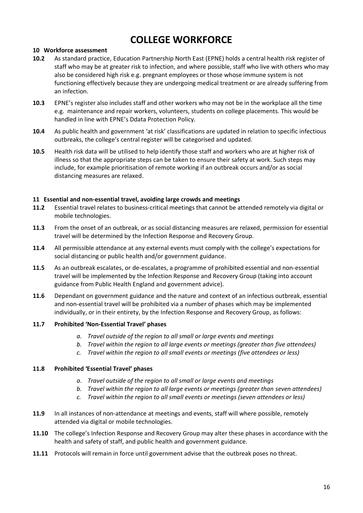### **COLLEGE WORKFORCE**

#### <span id="page-15-1"></span><span id="page-15-0"></span>**10 Workforce assessment**

- **10.2** As standard practice, Education Partnership North East (EPNE) holds a central health risk register of staff who may be at greater risk to infection, and where possible, staff who live with others who may also be considered high risk e.g. pregnant employees or those whose immune system is not functioning effectively because they are undergoing medical treatment or are already suffering from an infection.
- **10.3** EPNE's register also includes staff and other workers who may not be in the workplace all the time e.g. maintenance and repair workers, volunteers, students on college placements. This would be handled in line with EPNE's Ddata Protection Policy.
- **10.4** As public health and government 'at risk' classifications are updated in relation to specific infectious outbreaks, the college's central register will be categorised and updated.
- **10.5** Health risk data will be utilised to help identify those staff and workers who are at higher risk of illness so that the appropriate steps can be taken to ensure their safety at work. Such steps may include, for example prioritisation of remote working if an outbreak occurs and/or as social distancing measures are relaxed.

#### <span id="page-15-2"></span>**11 Essential and non-essential travel, avoiding large crowds and meetings**

- **11.2** Essential travel relates to business-critical meetings that cannot be attended remotely via digital or mobile technologies.
- **11.3** From the onset of an outbreak, or as social distancing measures are relaxed, permission for essential travel will be determined by the Infection Response and Recovery Group.
- **11.4** All permissible attendance at any external events must comply with the college's expectations for social distancing or public health and/or government guidance.
- **11.5** As an outbreak escalates, or de-escalates, a programme of prohibited essential and non-essential travel will be implemented by the Infection Response and Recovery Group (taking into account guidance from Public Health England and government advice).
- **11.6** Dependant on government guidance and the nature and context of an infectious outbreak, essential and non-essential travel will be prohibited via a number of phases which may be implemented individually, or in their entirety, by the Infection Response and Recovery Group, as follows:

#### **11.7 Prohibited 'Non-Essential Travel' phases**

- *a. Travel outside of the region to all small or large events and meetings*
- *b. Travel within the region to all large events or meetings (greater than five attendees)*
- *c. Travel within the region to all small events or meetings (five attendees or less)*

#### **11.8 Prohibited 'Essential Travel' phases**

- *a. Travel outside of the region to all small or large events and meetings*
- *b. Travel within the region to all large events or meetings (greater than seven attendees)*
- *c. Travel within the region to all small events or meetings (seven attendees or less)*
- **11.9** In all instances of non-attendance at meetings and events, staff will where possible, remotely attended via digital or mobile technologies.
- **11.10** The college's Infection Response and Recovery Group may alter these phases in accordance with the health and safety of staff, and public health and government guidance.
- **11.11** Protocols will remain in force until government advise that the outbreak poses no threat.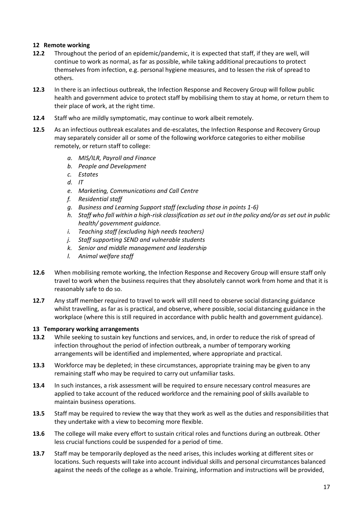#### <span id="page-16-0"></span>**12 Remote working**

- **12.2** Throughout the period of an epidemic/pandemic, it is expected that staff, if they are well, will continue to work as normal, as far as possible, while taking additional precautions to protect themselves from infection, e.g. personal hygiene measures, and to lessen the risk of spread to others.
- **12.3** In there is an infectious outbreak, the Infection Response and Recovery Group will follow public health and government advice to protect staff by mobilising them to stay at home, or return them to their place of work, at the right time.
- **12.4** Staff who are mildly symptomatic, may continue to work albeit remotely.
- **12.5** As an infectious outbreak escalates and de-escalates, the Infection Response and Recovery Group may separately consider all or some of the following workforce categories to either mobilise remotely, or return staff to college:
	- *a. MIS/ILR, Payroll and Finance*
	- *b. People and Development*
	- *c. Estates*
	- *d. IT*
	- *e. Marketing, Communications and Call Centre*
	- *f. Residential staff*
	- *g. Business and Learning Support staff (excluding those in points 1-6)*
	- *h. Staff who fall within a high-risk classification as set out in the policy and/or as set out in public health/ government guidance.*
	- *i. Teaching staff (excluding high needs teachers)*
	- *j. Staff supporting SEND and vulnerable students*
	- *k. Senior and middle management and leadership*
	- *l. Animal welfare staff*
- **12.6** When mobilising remote working, the Infection Response and Recovery Group will ensure staff only travel to work when the business requires that they absolutely cannot work from home and that it is reasonably safe to do so.
- **12.7** Any staff member required to travel to work will still need to observe social distancing guidance whilst travelling, as far as is practical, and observe, where possible, social distancing guidance in the workplace (where this is still required in accordance with public health and government guidance).

#### <span id="page-16-1"></span>**13 Temporary working arrangements**

- **13.2** While seeking to sustain key functions and services, and, in order to reduce the risk of spread of infection throughout the period of infection outbreak, a number of temporary working arrangements will be identified and implemented, where appropriate and practical.
- **13.3** Workforce may be depleted; in these circumstances, appropriate training may be given to any remaining staff who may be required to carry out unfamiliar tasks.
- **13.4** In such instances, a risk assessment will be required to ensure necessary control measures are applied to take account of the reduced workforce and the remaining pool of skills available to maintain business operations.
- **13.5** Staff may be required to review the way that they work as well as the duties and responsibilities that they undertake with a view to becoming more flexible.
- **13.6** The college will make every effort to sustain critical roles and functions during an outbreak. Other less crucial functions could be suspended for a period of time.
- **13.7** Staff may be temporarily deployed as the need arises, this includes working at different sites or locations. Such requests will take into account individual skills and personal circumstances balanced against the needs of the college as a whole. Training, information and instructions will be provided,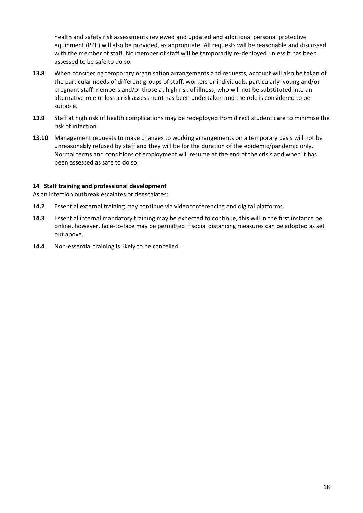health and safety risk assessments reviewed and updated and additional personal protective equipment (PPE) will also be provided, as appropriate. All requests will be reasonable and discussed with the member of staff. No member of staff will be temporarily re-deployed unless it has been assessed to be safe to do so.

- **13.8** When considering temporary organisation arrangements and requests, account will also be taken of the particular needs of different groups of staff, workers or individuals, particularly young and/or pregnant staff members and/or those at high risk of illness, who will not be substituted into an alternative role unless a risk assessment has been undertaken and the role is considered to be suitable.
- **13.9** Staff at high risk of health complications may be redeployed from direct student care to minimise the risk of infection.
- **13.10** Management requests to make changes to working arrangements on a temporary basis will not be unreasonably refused by staff and they will be for the duration of the epidemic/pandemic only. Normal terms and conditions of employment will resume at the end of the crisis and when it has been assessed as safe to do so.

#### <span id="page-17-0"></span>**14 Staff training and professional development**

As an infection outbreak escalates or deescalates:

- **14.2** Essential external training may continue via videoconferencing and digital platforms.
- **14.3** Essential internal mandatory training may be expected to continue, this will in the first instance be online, however, face-to-face may be permitted if social distancing measures can be adopted as set out above.
- **14.4** Non-essential training is likely to be cancelled.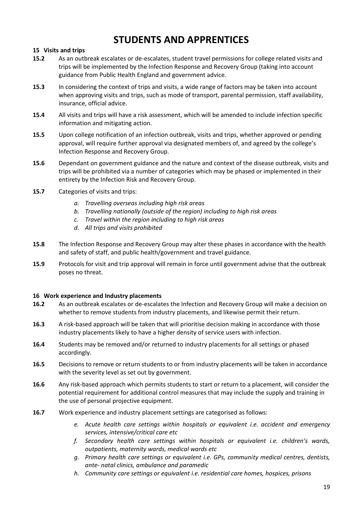### **STUDENTS AND APPRENTICES**

#### <span id="page-18-1"></span><span id="page-18-0"></span>**15 Visits and trips**

- **15.2** As an outbreak escalates or de-escalates, student travel permissions for college related visits and trips will be implemented by the Infection Response and Recovery Group (taking into account guidance from Public Health England and government advice.
- **15.3** In considering the context of trips and visits, a wide range of factors may be taken into account when approving visits and trips, such as mode of transport, parental permission, staff availability, insurance, official advice.
- **15.4** All visits and trips will have a risk assessment, which will be amended to include infection specific information and mitigating action.
- **15.5** Upon college notification of an infection outbreak, visits and trips, whether approved or pending approval, will require further approval via designated members of, and agreed by the college's Infection Response and Recovery Group.
- **15.6** Dependant on government guidance and the nature and context of the disease outbreak, visits and trips will be prohibited via a number of categories which may be phased or implemented in their entirety by the Infection Risk and Recovery Group.
- **15.7** Categories of visits and trips:
	- *a. Travelling overseas including high risk areas*
	- *b. Travelling nationally (outside of the region) including to high risk areas*
	- *c. Travel within the region including to high risk areas*
	- *d. All trips and visits prohibited*
- **15.8** The Infection Response and Recovery Group may alter these phases in accordance with the health and safety of staff, and public health/government and travel guidance.
- **15.9** Protocols for visit and trip approval will remain in force until government advise that the outbreak poses no threat.

#### <span id="page-18-2"></span>**16 Work experience and Industry placements**

- **16.2** As an outbreak escalates or de-escalates the Infection and Recovery Group will make a decision on whether to remove students from industry placements, and likewise permit their return.
- **16.3** A risk-based approach will be taken that will prioritise decision making in accordance with those industry placements likely to have a higher density of service users with infection.
- **16.4** Students may be removed and/or returned to industry placements for all settings or phased accordingly.
- **16.5** Decisions to remove or return students to or from industry placements will be taken in accordance with the severity level as set out by government.
- **16.6** Any risk-based approach which permits students to start or return to a placement, will consider the potential requirement for additional control measures that may include the supply and training in the use of personal projective equipment.
- **16.7** Work experience and industry placement settings are categorised as follows:
	- *e. Acute health care settings within hospitals or equivalent i.e. accident and emergency services, intensive/critical care etc*
	- *f. Secondary health care settings within hospitals or equivalent i.e. children's wards, outpatients, maternity wards, medical wards etc*
	- *g. Primary health care settings or equivalent i.e. GPs, community medical centres, dentists, ante- natal clinics, ambulance and paramedic*
	- *h. Community care settings or equivalent i.e. residential care homes, hospices, prisons*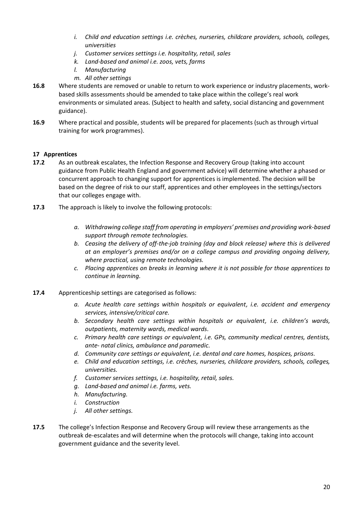- *i. Child and education settings i.e. crèches, nurseries, childcare providers, schools, colleges, universities*
- *j. Customer services settings i.e. hospitality, retail, sales*
- *k. Land-based and animal i.e. zoos, vets, farms*
- *l. Manufacturing*
- *m. All other settings*
- **16.8** Where students are removed or unable to return to work experience or industry placements, workbased skills assessments should be amended to take place within the college's real work environments or simulated areas. (Subject to health and safety, social distancing and government guidance).
- **16.9** Where practical and possible, students will be prepared for placements (such as through virtual training for work programmes).

#### <span id="page-19-0"></span>**17 Apprentices**

- **17.2** As an outbreak escalates, the Infection Response and Recovery Group (taking into account guidance from Public Health England and government advice) will determine whether a phased or concurrent approach to changing support for apprentices is implemented. The decision will be based on the degree of risk to our staff, apprentices and other employees in the settings/sectors that our colleges engage with.
- **17.3** The approach is likely to involve the following protocols:
	- *a. Withdrawing college staff from operating in employers' premises and providing work-based support through remote technologies.*
	- *b. Ceasing the delivery of off-the-job training (day and block release) where this is delivered at an employer's premises and/or on a college campus and providing ongoing delivery, where practical, using remote technologies.*
	- *c. Placing apprentices on breaks in learning where it is not possible for those apprentices to continue in learning.*
- **17.4** Apprenticeship settings are categorised as follows:
	- *a. Acute health care settings within hospitals or equivalent, i.e. accident and emergency services, intensive/critical care.*
	- *b. Secondary health care settings within hospitals or equivalent, i.e. children's wards, outpatients, maternity wards, medical wards.*
	- *c. Primary health care settings or equivalent, i.e. GPs, community medical centres, dentists, ante- natal clinics, ambulance and paramedic.*
	- *d. Community care settings or equivalent, i.e. dental and care homes, hospices, prisons.*
	- *e. Child and education settings, i.e. crèches, nurseries, childcare providers, schools, colleges, universities.*
	- *f. Customer services settings, i.e. hospitality, retail, sales.*
	- *g. Land-based and animal i.e. farms, vets.*
	- *h. Manufacturing.*
	- *i. Construction*
	- *j. All other settings.*
- **17.5** The college's Infection Response and Recovery Group will review these arrangements as the outbreak de-escalates and will determine when the protocols will change, taking into account government guidance and the severity level.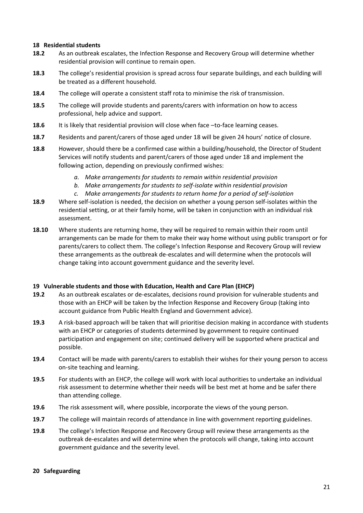#### <span id="page-20-0"></span>**18 Residential students**

- **18.2** As an outbreak escalates, the Infection Response and Recovery Group will determine whether residential provision will continue to remain open.
- **18.3** The college's residential provision is spread across four separate buildings, and each building will be treated as a different household.
- **18.4** The college will operate a consistent staff rota to minimise the risk of transmission.
- **18.5** The college will provide students and parents/carers with information on how to access professional, help advice and support.
- **18.6** It is likely that residential provision will close when face –to-face learning ceases.
- **18.7** Residents and parent/carers of those aged under 18 will be given 24 hours' notice of closure.
- **18.8** However, should there be a confirmed case within a building/household, the Director of Student Services will notify students and parent/carers of those aged under 18 and implement the following action, depending on previously confirmed wishes:
	- *a. Make arrangements for students to remain within residential provision*
	- *b. Make arrangements for students to self-isolate within residential provision*
	- *c. Make arrangements for students to return home for a period of self-isolation*
- **18.9** Where self-isolation is needed, the decision on whether a young person self-isolates within the residential setting, or at their family home, will be taken in conjunction with an individual risk assessment.
- **18.10** Where students are returning home, they will be required to remain within their room until arrangements can be made for them to make their way home without using public transport or for parents/carers to collect them. The college's Infection Response and Recovery Group will review these arrangements as the outbreak de-escalates and will determine when the protocols will change taking into account government guidance and the severity level.

#### <span id="page-20-1"></span>**19 Vulnerable students and those with Education, Health and Care Plan (EHCP)**

- **19.2** As an outbreak escalates or de-escalates, decisions round provision for vulnerable students and those with an EHCP will be taken by the Infection Response and Recovery Group (taking into account guidance from Public Health England and Government advice).
- **19.3** A risk-based approach will be taken that will prioritise decision making in accordance with students with an EHCP or categories of students determined by government to require continued participation and engagement on site; continued delivery will be supported where practical and possible.
- **19.4** Contact will be made with parents/carers to establish their wishes for their young person to access on-site teaching and learning.
- **19.5** For students with an EHCP, the college will work with local authorities to undertake an individual risk assessment to determine whether their needs will be best met at home and be safer there than attending college.
- **19.6** The risk assessment will, where possible, incorporate the views of the young person.
- **19.7** The college will maintain records of attendance in line with government reporting guidelines.
- **19.8** The college's Infection Response and Recovery Group will review these arrangements as the outbreak de-escalates and will determine when the protocols will change, taking into account government guidance and the severity level.

#### <span id="page-20-2"></span>**20 Safeguarding**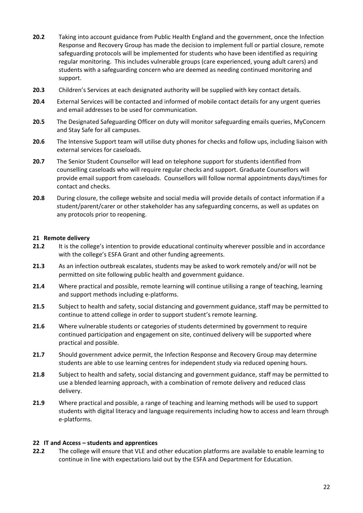- **20.2** Taking into account guidance from Public Health England and the government, once the Infection Response and Recovery Group has made the decision to implement full or partial closure, remote safeguarding protocols will be implemented for students who have been identified as requiring regular monitoring. This includes vulnerable groups (care experienced, young adult carers) and students with a safeguarding concern who are deemed as needing continued monitoring and support.
- **20.3** Children's Services at each designated authority will be supplied with key contact details.
- **20.4** External Services will be contacted and informed of mobile contact details for any urgent queries and email addresses to be used for communication.
- **20.5** The Designated Safeguarding Officer on duty will monitor safeguarding emails queries, MyConcern and Stay Safe for all campuses.
- **20.6** The Intensive Support team will utilise duty phones for checks and follow ups, including liaison with external services for caseloads.
- **20.7** The Senior Student Counsellor will lead on telephone support for students identified from counselling caseloads who will require regular checks and support. Graduate Counsellors will provide email support from caseloads. Counsellors will follow normal appointments days/times for contact and checks.
- **20.8** During closure, the college website and social media will provide details of contact information if a student/parent/carer or other stakeholder has any safeguarding concerns, as well as updates on any protocols prior to reopening.

#### <span id="page-21-0"></span>**21 Remote delivery**

- **21.2** It is the college's intention to provide educational continuity wherever possible and in accordance with the college's ESFA Grant and other funding agreements.
- **21.3** As an infection outbreak escalates, students may be asked to work remotely and/or will not be permitted on site following public health and government guidance.
- **21.4** Where practical and possible, remote learning will continue utilising a range of teaching, learning and support methods including e-platforms.
- **21.5** Subject to health and safety, social distancing and government guidance, staff may be permitted to continue to attend college in order to support student's remote learning.
- **21.6** Where vulnerable students or categories of students determined by government to require continued participation and engagement on site, continued delivery will be supported where practical and possible.
- **21.7** Should government advice permit, the Infection Response and Recovery Group may determine students are able to use learning centres for independent study via reduced opening hours.
- **21.8** Subject to health and safety, social distancing and government guidance, staff may be permitted to use a blended learning approach, with a combination of remote delivery and reduced class delivery.
- **21.9** Where practical and possible, a range of teaching and learning methods will be used to support students with digital literacy and language requirements including how to access and learn through e-platforms.

#### <span id="page-21-1"></span>**22 IT and Access – students and apprentices**

**22.2** The college will ensure that VLE and other education platforms are available to enable learning to continue in line with expectations laid out by the ESFA and Department for Education.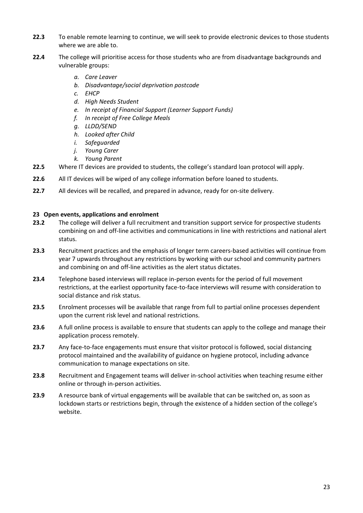- **22.3** To enable remote learning to continue, we will seek to provide electronic devices to those students where we are able to.
- **22.4** The college will prioritise access for those students who are from disadvantage backgrounds and vulnerable groups:
	- *a. Care Leaver*
	- *b. Disadvantage/social deprivation postcode*
	- *c. EHCP*
	- *d. High Needs Student*
	- *e. In receipt of Financial Support (Learner Support Funds)*
	- *f. In receipt of Free College Meals*
	- *g. LLDD/SEND*
	- *h. Looked after Child*
	- *i. Safeguarded*
	- *j. Young Carer*
	- *k. Young Parent*
- **22.5** Where IT devices are provided to students, the college's standard loan protocol will apply.
- **22.6** All IT devices will be wiped of any college information before loaned to students.
- **22.7** All devices will be recalled, and prepared in advance, ready for on-site delivery.

#### <span id="page-22-0"></span>**23 Open events, applications and enrolment**

- **23.2** The college will deliver a full recruitment and transition support service for prospective students combining on and off-line activities and communications in line with restrictions and national alert status.
- **23.3** Recruitment practices and the emphasis of longer term careers-based activities will continue from year 7 upwards throughout any restrictions by working with our school and community partners and combining on and off-line activities as the alert status dictates.
- **23.4** Telephone based interviews will replace in-person events for the period of full movement restrictions, at the earliest opportunity face-to-face interviews will resume with consideration to social distance and risk status.
- **23.5** Enrolment processes will be available that range from full to partial online processes dependent upon the current risk level and national restrictions.
- **23.6** A full online process is available to ensure that students can apply to the college and manage their application process remotely.
- **23.7** Any face-to-face engagements must ensure that visitor protocol is followed, social distancing protocol maintained and the availability of guidance on hygiene protocol, including advance communication to manage expectations on site.
- **23.8** Recruitment and Engagement teams will deliver in-school activities when teaching resume either online or through in-person activities.
- **23.9** A resource bank of virtual engagements will be available that can be switched on, as soon as lockdown starts or restrictions begin, through the existence of a hidden section of the college's website.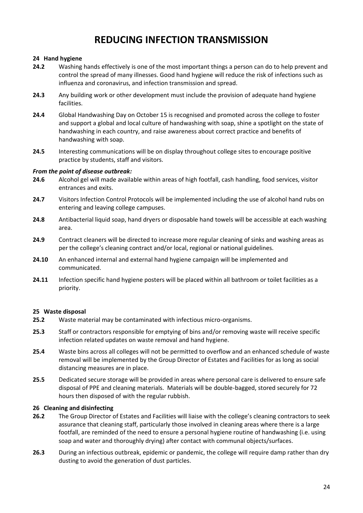### **REDUCING INFECTION TRANSMISSION**

#### <span id="page-23-0"></span>**24 Hand hygiene**

- **24.2** Washing hands effectively is one of the most important things a person can do to help prevent and control the spread of many illnesses. Good hand hygiene will reduce the risk of infections such as influenza and coronavirus, and infection transmission and spread.
- **24.3** Any building work or other development must include the provision of adequate hand hygiene facilities.
- **24.4** Global Handwashing Day on October 15 is recognised and promoted across the college to foster and support a global and local culture of handwashing with soap, shine a spotlight on the state of handwashing in each country, and raise awareness about correct practice and benefits of handwashing with soap.
- **24.5** Interesting communications will be on display throughout college sites to encourage positive practice by students, staff and visitors.

#### *From the point of disease outbreak:*

- **24.6** Alcohol gel will made available within areas of high footfall, cash handling, food services, visitor entrances and exits.
- **24.7** Visitors Infection Control Protocols will be implemented including the use of alcohol hand rubs on entering and leaving college campuses.
- **24.8** Antibacterial liquid soap, hand dryers or disposable hand towels will be accessible at each washing area.
- **24.9** Contract cleaners will be directed to increase more regular cleaning of sinks and washing areas as per the college's cleaning contract and/or local, regional or national guidelines.
- **24.10** An enhanced internal and external hand hygiene campaign will be implemented and communicated.
- **24.11** Infection specific hand hygiene posters will be placed within all bathroom or toilet facilities as a priority.

#### <span id="page-23-1"></span>**25 Waste disposal**

- **25.2** Waste material may be contaminated with infectious micro-organisms.
- **25.3** Staff or contractors responsible for emptying of bins and/or removing waste will receive specific infection related updates on waste removal and hand hygiene.
- **25.4** Waste bins across all colleges will not be permitted to overflow and an enhanced schedule of waste removal will be implemented by the Group Director of Estates and Facilities for as long as social distancing measures are in place.
- **25.5** Dedicated secure storage will be provided in areas where personal care is delivered to ensure safe disposal of PPE and cleaning materials. Materials will be double-bagged, stored securely for 72 hours then disposed of with the regular rubbish.

#### <span id="page-23-2"></span>**26 Cleaning and disinfecting**

- **26.2** The Group Director of Estates and Facilities will liaise with the college's cleaning contractors to seek assurance that cleaning staff, particularly those involved in cleaning areas where there is a large footfall, are reminded of the need to ensure a personal hygiene routine of handwashing (i.e. using soap and water and thoroughly drying) after contact with communal objects/surfaces.
- **26.3** During an infectious outbreak, epidemic or pandemic, the college will require damp rather than dry dusting to avoid the generation of dust particles.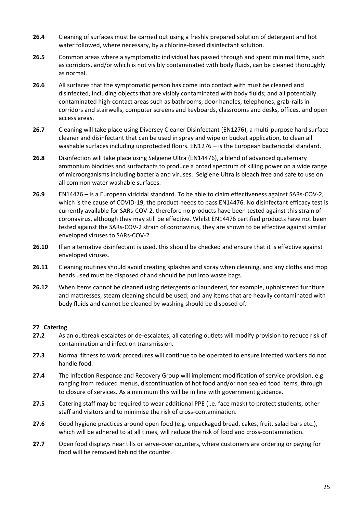- **26.4** Cleaning of surfaces must be carried out using a freshly prepared solution of detergent and hot water followed, where necessary, by a chlorine-based disinfectant solution.
- **26.5** Common areas where a symptomatic individual has passed through and spent minimal time, such as corridors, and/or which is not visibly contaminated with body fluids, can be cleaned thoroughly as normal.
- **26.6** All surfaces that the symptomatic person has come into contact with must be cleaned and disinfected, including objects that are visibly contaminated with body fluids; and all potentially contaminated high-contact areas such as bathrooms, door handles, telephones, grab-rails in corridors and stairwells, computer screens and keyboards, classrooms and desks, offices, and open access areas.
- **26.7** Cleaning will take place using Diversey Cleaner Disinfectant (EN1276), a multi-purpose hard surface cleaner and disinfectant that can be used in spray and wipe or bucket application, to clean all washable surfaces including unprotected floors. EN1276 – is the European bactericidal standard.
- **26.8** Disinfection will take place using Selgiene Ultra (EN14476), a blend of advanced quaternary ammonium biocides and surfactants to produce a broad spectrum of killing power on a wide range of microorganisms including bacteria and viruses. Selgiene Ultra is bleach free and safe to use on all common water washable surfaces.
- **26.9** EN14476 is a European viricidal standard. To be able to claim effectiveness against SARs-COV-2, which is the cause of COVID-19, the product needs to pass EN14476. No disinfectant efficacy test is currently available for SARs-COV-2, therefore no products have been tested against this strain of coronavirus, although they may still be effective. Whilst EN14476 certified products have not been tested against the SARs-COV-2 strain of coronavirus, they are shown to be effective against similar enveloped viruses to SARs-COV-2.
- **26.10** If an alternative disinfectant is used, this should be checked and ensure that it is effective against enveloped viruses.
- **26.11** Cleaning routines should avoid creating splashes and spray when cleaning, and any cloths and mop heads used must be disposed of and should be put into waste bags.
- **26.12** When items cannot be cleaned using detergents or laundered, for example, upholstered furniture and mattresses, steam cleaning should be used; and any items that are heavily contaminated with body fluids and cannot be cleaned by washing should be disposed of.

#### <span id="page-24-0"></span>**27 Catering**

- **27.2** As an outbreak escalates or de-escalates, all catering outlets will modify provision to reduce risk of contamination and infection transmission.
- **27.3** Normal fitness to work procedures will continue to be operated to ensure infected workers do not handle food.
- **27.4** The Infection Response and Recovery Group will implement modification of service provision, e.g. ranging from reduced menus, discontinuation of hot food and/or non sealed food items, through to closure of services. As a minimum this will be in line with government guidance.
- **27.5** Catering staff may be required to wear additional PPE (i.e. face mask) to protect students, other staff and visitors and to minimise the risk of cross-contamination.
- **27.6** Good hygiene practices around open food (e.g. unpackaged bread, cakes, fruit, salad bars etc.), which will be adhered to at all times, will reduce the risk of food and cross-contamination.
- **27.7** Open food displays near tills or serve-over counters, where customers are ordering or paying for food will be removed behind the counter.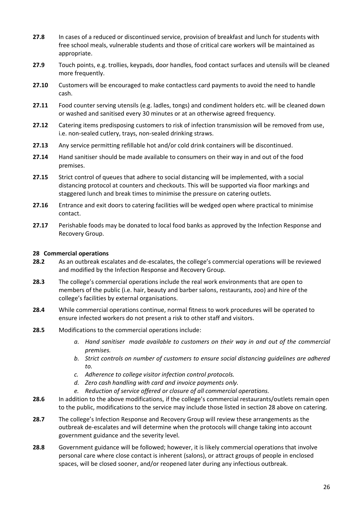- **27.8** In cases of a reduced or discontinued service, provision of breakfast and lunch for students with free school meals, vulnerable students and those of critical care workers will be maintained as appropriate.
- **27.9** Touch points, e.g. trollies, keypads, door handles, food contact surfaces and utensils will be cleaned more frequently.
- **27.10** Customers will be encouraged to make contactless card payments to avoid the need to handle cash.
- **27.11** Food counter serving utensils (e.g. ladles, tongs) and condiment holders etc. will be cleaned down or washed and sanitised every 30 minutes or at an otherwise agreed frequency.
- **27.12** Catering items predisposing customers to risk of infection transmission will be removed from use, i.e. non-sealed cutlery, trays, non-sealed drinking straws.
- **27.13** Any service permitting refillable hot and/or cold drink containers will be discontinued.
- **27.14** Hand sanitiser should be made available to consumers on their way in and out of the food premises.
- **27.15** Strict control of queues that adhere to social distancing will be implemented, with a social distancing protocol at counters and checkouts. This will be supported via floor markings and staggered lunch and break times to minimise the pressure on catering outlets.
- **27.16** Entrance and exit doors to catering facilities will be wedged open where practical to minimise contact.
- **27.17** Perishable foods may be donated to local food banks as approved by the Infection Response and Recovery Group.

#### <span id="page-25-0"></span>**28 Commercial operations**

- **28.2** As an outbreak escalates and de-escalates, the college's commercial operations will be reviewed and modified by the Infection Response and Recovery Group.
- **28.3** The college's commercial operations include the real work environments that are open to members of the public (i.e. hair, beauty and barber salons, restaurants, zoo) and hire of the college's facilities by external organisations.
- **28.4** While commercial operations continue, normal fitness to work procedures will be operated to ensure infected workers do not present a risk to other staff and visitors.
- **28.5** Modifications to the commercial operations include:
	- *a. Hand sanitiser made available to customers on their way in and out of the commercial premises.*
	- *b. Strict controls on number of customers to ensure social distancing guidelines are adhered to.*
	- *c. Adherence to college visitor infection control protocols.*
	- *d. Zero cash handling with card and invoice payments only.*
	- *e. Reduction of service offered or closure of all commercial operations.*
- **28.6** In addition to the above modifications, if the college's commercial restaurants/outlets remain open to the public, modifications to the service may include those listed in section 28 above on catering.
- **28.7** The college's Infection Response and Recovery Group will review these arrangements as the outbreak de-escalates and will determine when the protocols will change taking into account government guidance and the severity level.
- **28.8** Government guidance will be followed; however, it is likely commercial operations that involve personal care where close contact is inherent (salons), or attract groups of people in enclosed spaces, will be closed sooner, and/or reopened later during any infectious outbreak.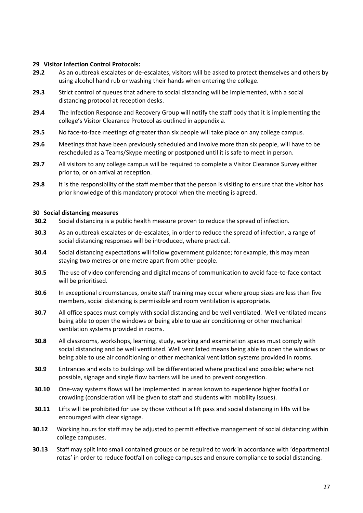#### <span id="page-26-0"></span>**29 Visitor Infection Control Protocols:**

- **29.2** As an outbreak escalates or de-escalates, visitors will be asked to protect themselves and others by using alcohol hand rub or washing their hands when entering the college.
- **29.3** Strict control of queues that adhere to social distancing will be implemented, with a social distancing protocol at reception desks.
- **29.4** The Infection Response and Recovery Group will notify the staff body that it is implementing the college's Visitor Clearance Protocol as outlined in appendix a.
- **29.5** No face-to-face meetings of greater than six people will take place on any college campus.
- **29.6** Meetings that have been previously scheduled and involve more than six people, will have to be rescheduled as a Teams/Skype meeting or postponed until it is safe to meet in person.
- **29.7** All visitors to any college campus will be required to complete a Visitor Clearance Survey either prior to, or on arrival at reception.
- **29.8** It is the responsibility of the staff member that the person is visiting to ensure that the visitor has prior knowledge of this mandatory protocol when the meeting is agreed.

#### <span id="page-26-1"></span>**30 Social distancing measures**

- **30.2** Social distancing is a public health measure proven to reduce the spread of infection.
- **30.3** As an outbreak escalates or de-escalates, in order to reduce the spread of infection, a range of social distancing responses will be introduced, where practical.
- **30.4** Social distancing expectations will follow government guidance; for example, this may mean staying two metres or one metre apart from other people.
- **30.5** The use of video conferencing and digital means of communication to avoid face-to-face contact will be prioritised.
- **30.6** In exceptional circumstances, onsite staff training may occur where group sizes are less than five members, social distancing is permissible and room ventilation is appropriate.
- **30.7** All office spaces must comply with social distancing and be well ventilated. Well ventilated means being able to open the windows or being able to use air conditioning or other mechanical ventilation systems provided in rooms.
- **30.8** All classrooms, workshops, learning, study, working and examination spaces must comply with social distancing and be well ventilated. Well ventilated means being able to open the windows or being able to use air conditioning or other mechanical ventilation systems provided in rooms.
- **30.9** Entrances and exits to buildings will be differentiated where practical and possible; where not possible, signage and single flow barriers will be used to prevent congestion.
- **30.10** One-way systems flows will be implemented in areas known to experience higher footfall or crowding (consideration will be given to staff and students with mobility issues).
- **30.11** Lifts will be prohibited for use by those without a lift pass and social distancing in lifts will be encouraged with clear signage.
- **30.12** Working hours for staff may be adjusted to permit effective management of social distancing within college campuses.
- **30.13** Staff may split into small contained groups or be required to work in accordance with 'departmental rotas' in order to reduce footfall on college campuses and ensure compliance to social distancing.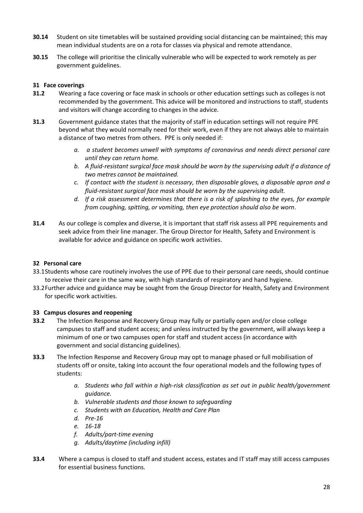- **30.14** Student on site timetables will be sustained providing social distancing can be maintained; this may mean individual students are on a rota for classes via physical and remote attendance.
- **30.15** The college will prioritise the clinically vulnerable who will be expected to work remotely as per government guidelines.

#### <span id="page-27-0"></span>**31 Face coverings**

- **31.2** Wearing a face covering or face mask in schools or other education settings such as colleges is not recommended by the government. This advice will be monitored and instructions to staff, students and visitors will change according to changes in the advice.
- **31.3** Government guidance states that the majority of staff in education settings will not require PPE beyond what they would normally need for their work, even if they are not always able to maintain a distance of two metres from others. PPE is only needed if:
	- *a. a student becomes unwell with symptoms of coronavirus and needs direct personal care until they can return home.*
	- *b. A fluid-resistant surgical face mask should be worn by the supervising adult if a distance of two metres cannot be maintained.*
	- *c. If contact with the student is necessary, then disposable gloves, a disposable apron and a fluid-resistant surgical face mask should be worn by the supervising adult.*
	- *d. If a risk assessment determines that there is a risk of splashing to the eyes, for example from coughing, spitting, or vomiting, then eye protection should also be worn.*
- **31.4** As our college is complex and diverse, it is important that staff risk assess all PPE requirements and seek advice from their line manager. The Group Director for Health, Safety and Environment is available for advice and guidance on specific work activities.

#### <span id="page-27-1"></span>**32 Personal care**

- 33.1Students whose care routinely involves the use of PPE due to their personal care needs, should continue to receive their care in the same way, with high standards of respiratory and hand hygiene.
- 33.2Further advice and guidance may be sought from the Group Director for Health, Safety and Environment for specific work activities.

#### <span id="page-27-2"></span>**33 Campus closures and reopening**

- **33.2** The Infection Response and Recovery Group may fully or partially open and/or close college campuses to staff and student access; and unless instructed by the government, will always keep a minimum of one or two campuses open for staff and student access (in accordance with government and social distancing guidelines).
- **33.3** The Infection Response and Recovery Group may opt to manage phased or full mobilisation of students off or onsite, taking into account the four operational models and the following types of students:
	- *a. Students who fall within a high-risk classification as set out in public health/government guidance.*
	- *b. Vulnerable students and those known to safeguarding*
	- *c. Students with an Education, Health and Care Plan*
	- *d. Pre-16*
	- *e. 16-18*
	- *f. Adults/part-time evening*
	- *g. Adults/daytime (including infill)*
- **33.4** Where a campus is closed to staff and student access, estates and IT staff may still access campuses for essential business functions.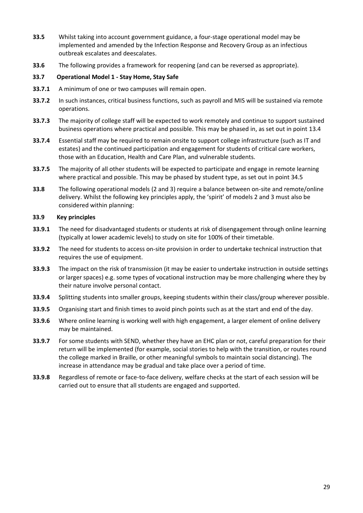- **33.5** Whilst taking into account government guidance, a four-stage operational model may be implemented and amended by the Infection Response and Recovery Group as an infectious outbreak escalates and deescalates.
- **33.6** The following provides a framework for reopening (and can be reversed as appropriate).

#### **33.7 Operational Model 1 - Stay Home, Stay Safe**

- **33.7.1** A minimum of one or two campuses will remain open.
- **33.7.2** In such instances, critical business functions, such as payroll and MIS will be sustained via remote operations.
- **33.7.3** The majority of college staff will be expected to work remotely and continue to support sustained business operations where practical and possible. This may be phased in, as set out in point 13.4
- **33.7.4** Essential staff may be required to remain onsite to support college infrastructure (such as IT and estates) and the continued participation and engagement for students of critical care workers, those with an Education, Health and Care Plan, and vulnerable students.
- **33.7.5** The majority of all other students will be expected to participate and engage in remote learning where practical and possible. This may be phased by student type, as set out in point 34.5
- **33.8** The following operational models (2 and 3) require a balance between on-site and remote/online delivery. Whilst the following key principles apply, the 'spirit' of models 2 and 3 must also be considered within planning:

#### **33.9 Key principles**

- **33.9.1** The need for disadvantaged students or students at risk of disengagement through online learning (typically at lower academic levels) to study on site for 100% of their timetable.
- **33.9.2** The need for students to access on-site provision in order to undertake technical instruction that requires the use of equipment.
- **33.9.3** The impact on the risk of transmission (it may be easier to undertake instruction in outside settings or larger spaces) e.g. some types of vocational instruction may be more challenging where they by their nature involve personal contact.
- **33.9.4** Splitting students into smaller groups, keeping students within their class/group wherever possible.
- **33.9.5** Organising start and finish times to avoid pinch points such as at the start and end of the day.
- **33.9.6** Where online learning is working well with high engagement, a larger element of online delivery may be maintained.
- **33.9.7** For some students with SEND, whether they have an EHC plan or not, careful preparation for their return will be implemented (for example, social stories to help with the transition, or routes round the college marked in Braille, or other meaningful symbols to maintain social distancing). The increase in attendance may be gradual and take place over a period of time.
- **33.9.8** Regardless of remote or face-to-face delivery, welfare checks at the start of each session will be carried out to ensure that all students are engaged and supported.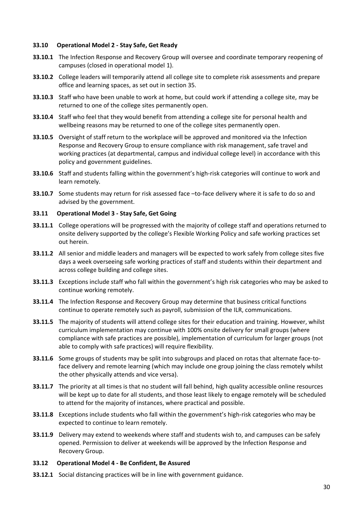#### **33.10 Operational Model 2 - Stay Safe, Get Ready**

- **33.10.1** The Infection Response and Recovery Group will oversee and coordinate temporary reopening of campuses (closed in operational model 1).
- **33.10.2** College leaders will temporarily attend all college site to complete risk assessments and prepare office and learning spaces, as set out in section 35.
- **33.10.3** Staff who have been unable to work at home, but could work if attending a college site, may be returned to one of the college sites permanently open.
- **33.10.4** Staff who feel that they would benefit from attending a college site for personal health and wellbeing reasons may be returned to one of the college sites permanently open.
- **33.10.5** Oversight of staff return to the workplace will be approved and monitored via the Infection Response and Recovery Group to ensure compliance with risk management, safe travel and working practices (at departmental, campus and individual college level) in accordance with this policy and government guidelines.
- **33.10.6** Staff and students falling within the government's high-risk categories will continue to work and learn remotely.
- **33.10.7** Some students may return for risk assessed face –to-face delivery where it is safe to do so and advised by the government.

#### **33.11 Operational Model 3 - Stay Safe, Get Going**

- **33.11.1** College operations will be progressed with the majority of college staff and operations returned to onsite delivery supported by the college's Flexible Working Policy and safe working practices set out herein.
- **33.11.2** All senior and middle leaders and managers will be expected to work safely from college sites five days a week overseeing safe working practices of staff and students within their department and across college building and college sites.
- **33.11.3** Exceptions include staff who fall within the government's high risk categories who may be asked to continue working remotely.
- **33.11.4** The Infection Response and Recovery Group may determine that business critical functions continue to operate remotely such as payroll, submission of the ILR, communications.
- **33.11.5** The majority of students will attend college sites for their education and training. However, whilst curriculum implementation may continue with 100% onsite delivery for small groups (where compliance with safe practices are possible), implementation of curriculum for larger groups (not able to comply with safe practices) will require flexibility.
- **33.11.6** Some groups of students may be split into subgroups and placed on rotas that alternate face-toface delivery and remote learning (which may include one group joining the class remotely whilst the other physically attends and vice versa).
- **33.11.7** The priority at all times is that no student will fall behind, high quality accessible online resources will be kept up to date for all students, and those least likely to engage remotely will be scheduled to attend for the majority of instances, where practical and possible.
- **33.11.8** Exceptions include students who fall within the government's high-risk categories who may be expected to continue to learn remotely.
- **33.11.9** Delivery may extend to weekends where staff and students wish to, and campuses can be safely opened. Permission to deliver at weekends will be approved by the Infection Response and Recovery Group.
- **33.12 Operational Model 4 - Be Confident, Be Assured**
- **33.12.1** Social distancing practices will be in line with government guidance.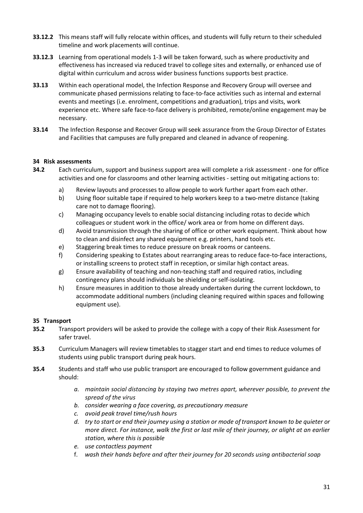- **33.12.2** This means staff will fully relocate within offices, and students will fully return to their scheduled timeline and work placements will continue.
- **33.12.3** Learning from operational models 1-3 will be taken forward, such as where productivity and effectiveness has increased via reduced travel to college sites and externally, or enhanced use of digital within curriculum and across wider business functions supports best practice.
- **33.13** Within each operational model, the Infection Response and Recovery Group will oversee and communicate phased permissions relating to face-to-face activities such as internal and external events and meetings (i.e. enrolment, competitions and graduation), trips and visits, work experience etc. Where safe face-to-face delivery is prohibited, remote/online engagement may be necessary.
- **33.14** The Infection Response and Recover Group will seek assurance from the Group Director of Estates and Facilities that campuses are fully prepared and cleaned in advance of reopening.

#### <span id="page-30-0"></span>**34 Risk assessments**

- **34.2** Each curriculum, support and business support area will complete a risk assessment one for office activities and one for classrooms and other learning activities - setting out mitigating actions to:
	- a) Review layouts and processes to allow people to work further apart from each other.
	- b) Using floor suitable tape if required to help workers keep to a two-metre distance (taking care not to damage flooring).
	- c) Managing occupancy levels to enable social distancing including rotas to decide which colleagues or student work in the office/ work area or from home on different days.
	- d) Avoid transmission through the sharing of office or other work equipment. Think about how to clean and disinfect any shared equipment e.g. printers, hand tools etc.
	- e) Staggering break times to reduce pressure on break rooms or canteens.
	- f) Considering speaking to Estates about rearranging areas to reduce face-to-face interactions, or installing screens to protect staff in reception, or similar high contact areas.
	- g) Ensure availability of teaching and non-teaching staff and required ratios, including contingency plans should individuals be shielding or self-isolating.
	- h) Ensure measures in addition to those already undertaken during the current lockdown, to accommodate additional numbers (including cleaning required within spaces and following equipment use).

#### <span id="page-30-1"></span>**35 Transport**

- **35.2** Transport providers will be asked to provide the college with a copy of their Risk Assessment for safer travel.
- **35.3** Curriculum Managers will review timetables to stagger start and end times to reduce volumes of students using public transport during peak hours.
- **35.4** Students and staff who use public transport are encouraged to follow government guidance and should:
	- *a. maintain social distancing by staying two metres apart, wherever possible, to prevent the spread of the virus*
	- *b. consider wearing a face covering, as precautionary measure*
	- *c. avoid peak travel time/rush hours*
	- *d. try to start or end their journey using a station or mode of transport known to be quieter or more direct. For instance, walk the first or last mile of their journey, or alight at an earlier station, where this is possible*
	- *e. use contactless payment*
	- f. *wash their hands before and after their journey for 20 seconds using antibacterial soap*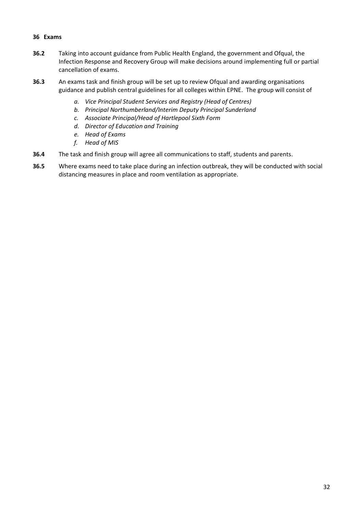#### <span id="page-31-0"></span>**36 Exams**

- **36.2** Taking into account guidance from Public Health England, the government and Ofqual, the Infection Response and Recovery Group will make decisions around implementing full or partial cancellation of exams.
- **36.3** An exams task and finish group will be set up to review Ofqual and awarding organisations guidance and publish central guidelines for all colleges within EPNE. The group will consist of
	- *a. Vice Principal Student Services and Registry (Head of Centres)*
	- *b. Principal Northumberland/Interim Deputy Principal Sunderland*
	- *c. Associate Principal/Head of Hartlepool Sixth Form*
	- *d. Director of Education and Training*
	- *e. Head of Exams*
	- *f. Head of MIS*
- **36.4** The task and finish group will agree all communications to staff, students and parents.
- **36.5** Where exams need to take place during an infection outbreak, they will be conducted with social distancing measures in place and room ventilation as appropriate.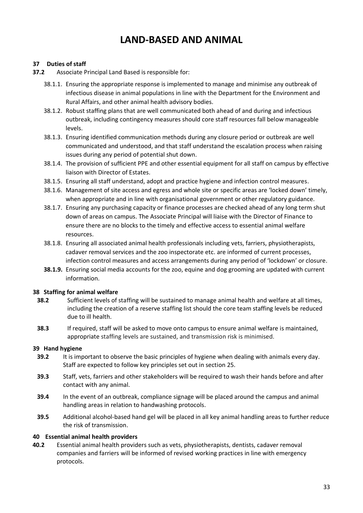### <span id="page-32-1"></span>**LAND-BASED AND ANIMAL**

#### <span id="page-32-0"></span>**37 Duties of staff**

- **37.2** Associate Principal Land Based is responsible for:
	- 38.1.1. Ensuring the appropriate response is implemented to manage and minimise any outbreak of infectious disease in animal populations in line with the Department for the Environment and Rural Affairs, and other animal health advisory bodies.
	- 38.1.2. Robust staffing plans that are well communicated both ahead of and during and infectious outbreak, including contingency measures should core staff resources fall below manageable levels.
	- 38.1.3. Ensuring identified communication methods during any closure period or outbreak are well communicated and understood, and that staff understand the escalation process when raising issues during any period of potential shut down.
	- 38.1.4. The provision of sufficient PPE and other essential equipment for all staff on campus by effective liaison with Director of Estates.
	- 38.1.5. Ensuring all staff understand, adopt and practice hygiene and infection control measures.
	- 38.1.6. Management of site access and egress and whole site or specific areas are 'locked down' timely, when appropriate and in line with organisational government or other regulatory guidance.
	- 38.1.7. Ensuring any purchasing capacity or finance processes are checked ahead of any long term shut down of areas on campus. The Associate Principal will liaise with the Director of Finance to ensure there are no blocks to the timely and effective access to essential animal welfare resources.
	- 38.1.8. Ensuring all associated animal health professionals including vets, farriers, physiotherapists, cadaver removal services and the zoo inspectorate etc. are informed of current processes, infection control measures and access arrangements during any period of 'lockdown' or closure.
	- **38.1.9.** Ensuring social media accounts for the zoo, equine and dog grooming are updated with current information.

#### <span id="page-32-2"></span>**38 Staffing for animal welfare**

- **38.2** Sufficient levels of staffing will be sustained to manage animal health and welfare at all times, including the creation of a reserve staffing list should the core team staffing levels be reduced due to ill health.
- **38.3** If required, staff will be asked to move onto campus to ensure animal welfare is maintained, appropriate staffing levels are sustained, and transmission risk is minimised.

#### <span id="page-32-3"></span>**39 Hand hygiene**

- **39.2** It is important to observe the basic principles of hygiene when dealing with animals every day. Staff are expected to follow key principles set out in section 25.
- **39.3** Staff, vets, farriers and other stakeholders will be required to wash their hands before and after contact with any animal.
- **39.4** In the event of an outbreak, compliance signage will be placed around the campus and animal handling areas in relation to handwashing protocols.
- <span id="page-32-4"></span>**39.5** Additional alcohol-based hand gel will be placed in all key animal handling areas to further reduce the risk of transmission.

#### **40 Essential animal health providers**

**40.2** Essential animal health providers such as vets, physiotherapists, dentists, cadaver removal companies and farriers will be informed of revised working practices in line with emergency protocols.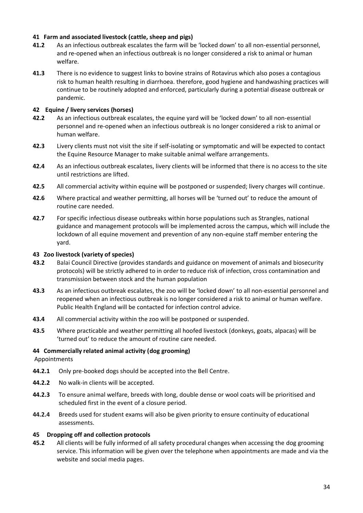#### <span id="page-33-0"></span>**41 Farm and associated livestock (cattle, sheep and pigs)**

- **41.2** As an infectious outbreak escalates the farm will be 'locked down' to all non-essential personnel, and re-opened when an infectious outbreak is no longer considered a risk to animal or human welfare.
- **41.3** There is no evidence to suggest links to bovine strains of Rotavirus which also poses a contagious risk to human health resulting in diarrhoea. therefore, good hygiene and handwashing practices will continue to be routinely adopted and enforced, particularly during a potential disease outbreak or pandemic.

#### <span id="page-33-1"></span>**42 Equine / livery services (horses)**

- **42.2** As an infectious outbreak escalates, the equine yard will be 'locked down' to all non-essential personnel and re-opened when an infectious outbreak is no longer considered a risk to animal or human welfare.
- **42.3** Livery clients must not visit the site if self-isolating or symptomatic and will be expected to contact the Equine Resource Manager to make suitable animal welfare arrangements.
- **42.4** As an infectious outbreak escalates, livery clients will be informed that there is no access to the site until restrictions are lifted.
- **42.5** All commercial activity within equine will be postponed or suspended; livery charges will continue.
- **42.6** Where practical and weather permitting, all horses will be 'turned out' to reduce the amount of routine care needed.
- **42.7** For specific infectious disease outbreaks within horse populations such as Strangles, national guidance and management protocols will be implemented across the campus, which will include the lockdown of all equine movement and prevention of any non-equine staff member entering the yard.

#### <span id="page-33-2"></span>**43 Zoo livestock (variety of species)**

- **43.2** Balai Council Directive (provides standards and guidance on movement of animals and biosecurity protocols) will be strictly adhered to in order to reduce risk of infection, cross contamination and transmission between stock and the human population
- **43.3** As an infectious outbreak escalates, the zoo will be 'locked down' to all non-essential personnel and reopened when an infectious outbreak is no longer considered a risk to animal or human welfare. Public Health England will be contacted for infection control advice.
- **43.4** All commercial activity within the zoo will be postponed or suspended.
- **43.5** Where practicable and weather permitting all hoofed livestock (donkeys, goats, alpacas) will be 'turned out' to reduce the amount of routine care needed.

### <span id="page-33-3"></span>**44 Commercially related animal activity (dog grooming)**

Appointments

- **44.2.1** Only pre-booked dogs should be accepted into the Bell Centre.
- **44.2.2** No walk-in clients will be accepted.
- **44.2.3** To ensure animal welfare, breeds with long, double dense or wool coats will be prioritised and scheduled first in the event of a closure period.
- **44.2.4** Breeds used for student exams will also be given priority to ensure continuity of educational assessments.

#### <span id="page-33-4"></span>**45 Dropping off and collection protocols**

**45.2** All clients will be fully informed of all safety procedural changes when accessing the dog grooming service. This information will be given over the telephone when appointments are made and via the website and social media pages.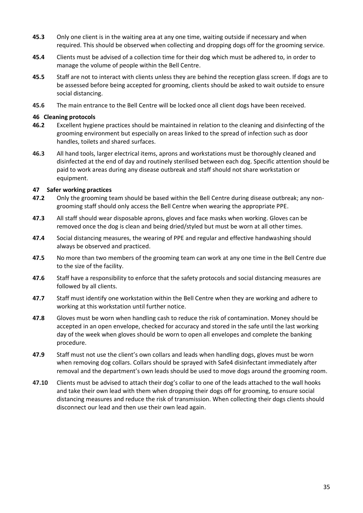- **45.3** Only one client is in the waiting area at any one time, waiting outside if necessary and when required. This should be observed when collecting and dropping dogs off for the grooming service.
- **45.4** Clients must be advised of a collection time for their dog which must be adhered to, in order to manage the volume of people within the Bell Centre.
- **45.5** Staff are not to interact with clients unless they are behind the reception glass screen. If dogs are to be assessed before being accepted for grooming, clients should be asked to wait outside to ensure social distancing.
- **45.6** The main entrance to the Bell Centre will be locked once all client dogs have been received.

#### <span id="page-34-0"></span>**46 Cleaning protocols**

- **46.2** Excellent hygiene practices should be maintained in relation to the cleaning and disinfecting of the grooming environment but especially on areas linked to the spread of infection such as door handles, toilets and shared surfaces.
- **46.3** All hand tools, larger electrical items, aprons and workstations must be thoroughly cleaned and disinfected at the end of day and routinely sterilised between each dog. Specific attention should be paid to work areas during any disease outbreak and staff should not share workstation or equipment.

#### <span id="page-34-1"></span>**47 Safer working practices**

- **47.2** Only the grooming team should be based within the Bell Centre during disease outbreak; any nongrooming staff should only access the Bell Centre when wearing the appropriate PPE.
- **47.3** All staff should wear disposable aprons, gloves and face masks when working. Gloves can be removed once the dog is clean and being dried/styled but must be worn at all other times.
- **47.4** Social distancing measures, the wearing of PPE and regular and effective handwashing should always be observed and practiced.
- **47.5** No more than two members of the grooming team can work at any one time in the Bell Centre due to the size of the facility.
- **47.6** Staff have a responsibility to enforce that the safety protocols and social distancing measures are followed by all clients.
- **47.7** Staff must identify one workstation within the Bell Centre when they are working and adhere to working at this workstation until further notice.
- **47.8** Gloves must be worn when handling cash to reduce the risk of contamination. Money should be accepted in an open envelope, checked for accuracy and stored in the safe until the last working day of the week when gloves should be worn to open all envelopes and complete the banking procedure.
- **47.9** Staff must not use the client's own collars and leads when handling dogs, gloves must be worn when removing dog collars. Collars should be sprayed with Safe4 disinfectant immediately after removal and the department's own leads should be used to move dogs around the grooming room.
- **47.10** Clients must be advised to attach their dog's collar to one of the leads attached to the wall hooks and take their own lead with them when dropping their dogs off for grooming, to ensure social distancing measures and reduce the risk of transmission. When collecting their dogs clients should disconnect our lead and then use their own lead again.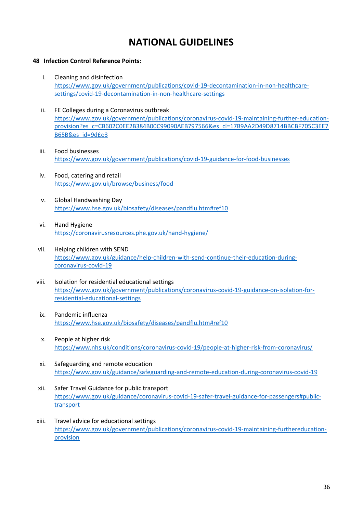### **NATIONAL GUIDELINES**

#### <span id="page-35-1"></span><span id="page-35-0"></span>**48 Infection Control Reference Points:**

- i. Cleaning and disinfection [https://www.gov.uk/government/publications/covid-19-decontamination-in-non-healthcare](https://www.gov.uk/government/publications/covid-19-decontamination-in-non-healthcare-settings/covid-19-decontamination-in-non-healthcare-settings)[settings/covid-19-decontamination-in-non-healthcare-settings](https://www.gov.uk/government/publications/covid-19-decontamination-in-non-healthcare-settings/covid-19-decontamination-in-non-healthcare-settings)
- ii. FE Colleges during a Coronavirus outbreak https://www.gov.uk/government/publications/coronavirus-covid-19-maintaining-further-educationprovision?es\_c=CB602C0EE2B384B00C99090AEB797566&es\_cl=17B9AA2D49D8714BBCBF705C3EE7 B65B&es\_id=9d£o3
- iii. Food businesses <https://www.gov.uk/government/publications/covid-19-guidance-for-food-businesses>
- iv. Food, catering and retail <https://www.gov.uk/browse/business/food>
- v. Global Handwashing Day <https://www.hse.gov.uk/biosafety/diseases/pandflu.htm#ref10>
- vi. Hand Hygiene <https://coronavirusresources.phe.gov.uk/hand-hygiene/>
- vii. Helping children with SEND [https://www.gov.uk/guidance/help-children-with-send-continue-their-education-during](https://www.gov.uk/guidance/help-children-with-send-continue-their-education-during-coronavirus-covid-19)[coronavirus-covid-19](https://www.gov.uk/guidance/help-children-with-send-continue-their-education-during-coronavirus-covid-19)
- viii. Isolation for residential educational settings [https://www.gov.uk/government/publications/coronavirus-covid-19-guidance-on-isolation-for](https://www.gov.uk/government/publications/coronavirus-covid-19-guidance-on-isolation-for-residential-educational-settings)[residential-educational-settings](https://www.gov.uk/government/publications/coronavirus-covid-19-guidance-on-isolation-for-residential-educational-settings)
- ix. Pandemic influenza <https://www.hse.gov.uk/biosafety/diseases/pandflu.htm#ref10>
- x. People at higher risk <https://www.nhs.uk/conditions/coronavirus-covid-19/people-at-higher-risk-from-coronavirus/>
- xi. Safeguarding and remote education <https://www.gov.uk/guidance/safeguarding-and-remote-education-during-coronavirus-covid-19>
- xii. Safer Travel Guidance for public transport [https://www.gov.uk/guidance/coronavirus-covid-19-safer-travel-guidance-for-passengers#public](https://www.gov.uk/guidance/coronavirus-covid-19-safer-travel-guidance-for-passengers#public-transport)[transport](https://www.gov.uk/guidance/coronavirus-covid-19-safer-travel-guidance-for-passengers#public-transport)
- xiii. Travel advice for educational settings [https://www.gov.uk/government/publications/coronavirus-covid-19-maintaining-furthereducation](https://www.gov.uk/government/publications/coronavirus-covid-19-maintaining-furthereducation-provision)[provision](https://www.gov.uk/government/publications/coronavirus-covid-19-maintaining-furthereducation-provision)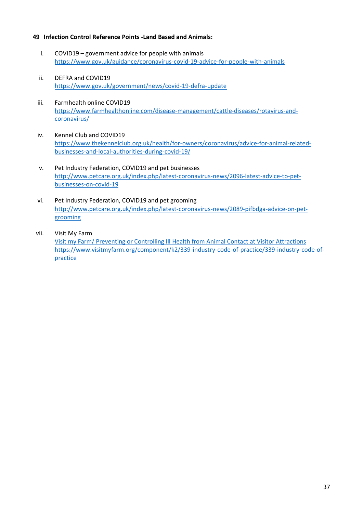#### <span id="page-36-0"></span>**49 Infection Control Reference Points -Land Based and Animals:**

- i. COVID19 government advice for people with animals <https://www.gov.uk/guidance/coronavirus-covid-19-advice-for-people-with-animals>
- ii. DEFRA and COVID19 <https://www.gov.uk/government/news/covid-19-defra-update>
- iii. Farmhealth online COVID19 [https://www.farmhealthonline.com/disease-management/cattle-diseases/rotavirus-and](https://www.farmhealthonline.com/disease-management/cattle-diseases/rotavirus-and-coronavirus/)[coronavirus/](https://www.farmhealthonline.com/disease-management/cattle-diseases/rotavirus-and-coronavirus/)
- iv. Kennel Club and COVID19 [https://www.thekennelclub.org.uk/health/for-owners/coronavirus/advice-for-animal-related](https://www.thekennelclub.org.uk/health/for-owners/coronavirus/advice-for-animal-related-businesses-and-local-authorities-during-covid-19/)[businesses-and-local-authorities-during-covid-19/](https://www.thekennelclub.org.uk/health/for-owners/coronavirus/advice-for-animal-related-businesses-and-local-authorities-during-covid-19/)
- v. Pet Industry Federation, COVID19 and pet businesses [http://www.petcare.org.uk/index.php/latest-coronavirus-news/2096-latest-advice-to-pet](http://www.petcare.org.uk/index.php/latest-coronavirus-news/2096-latest-advice-to-pet-businesses-on-covid-19)[businesses-on-covid-19](http://www.petcare.org.uk/index.php/latest-coronavirus-news/2096-latest-advice-to-pet-businesses-on-covid-19)
- vi. Pet Industry Federation, COVID19 and pet grooming [http://www.petcare.org.uk/index.php/latest-coronavirus-news/2089-pifbdga-advice-on-pet](http://www.petcare.org.uk/index.php/latest-coronavirus-news/2089-pifbdga-advice-on-pet-grooming)[grooming](http://www.petcare.org.uk/index.php/latest-coronavirus-news/2089-pifbdga-advice-on-pet-grooming)
- vii. Visit My Farm

Visit my Farm/ Preventing or Controlling Ill Health from Animal Contact at Visitor Attractions [https://www.visitmyfarm.org/component/k2/339-industry-code-of-practice/339-industry-code-of](https://www.visitmyfarm.org/component/k2/339-industry-code-of-practice/339-industry-code-of-practice)[practice](https://www.visitmyfarm.org/component/k2/339-industry-code-of-practice/339-industry-code-of-practice)